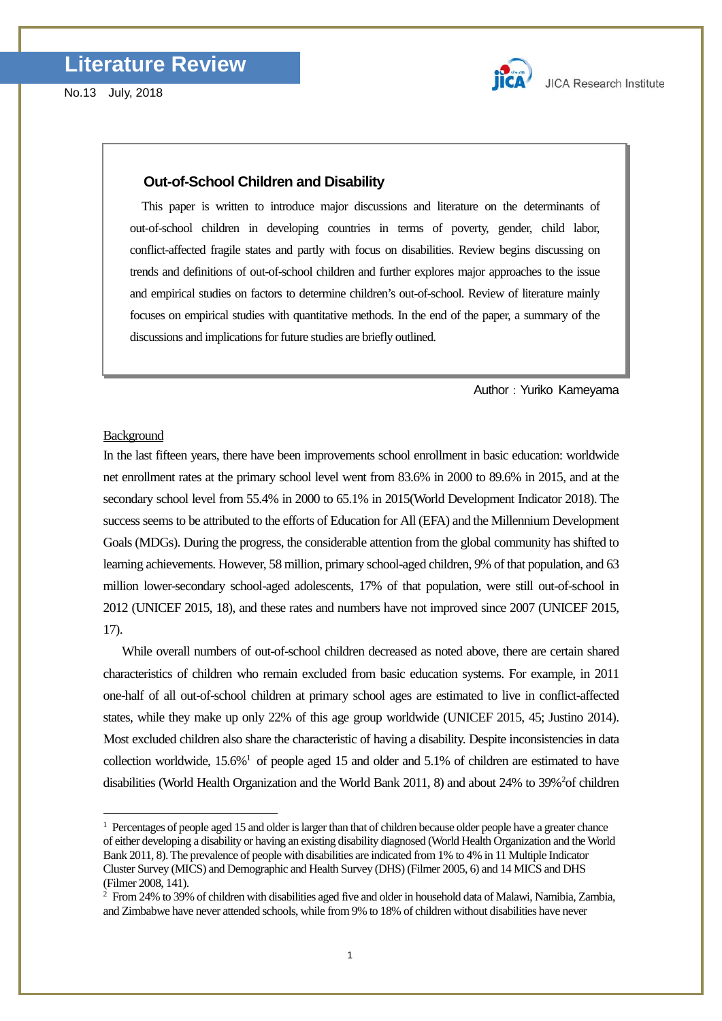

### **Out-of-School Children and Disability**

This paper is written to introduce major discussions and literature on the determinants of out-of-school children in developing countries in terms of poverty, gender, child labor, conflict-affected fragile states and partly with focus on disabilities. Review begins discussing on trends and definitions of out-of-school children and further explores major approaches to the issue and empirical studies on factors to determine children's out-of-school. Review of literature mainly focuses on empirical studies with quantitative methods. In the end of the paper, a summary of the discussions and implications for future studies are briefly outlined.

Author: Yuriko Kameyama

#### **Background**

-

In the last fifteen years, there have been improvements school enrollment in basic education: worldwide net enrollment rates at the primary school level went from 83.6% in 2000 to 89.6% in 2015, and at the secondary school level from 55.4% in 2000 to 65.1% in 2015(World Development Indicator 2018). The success seems to be attributed to the efforts of Education for All (EFA) and the Millennium Development Goals (MDGs). During the progress, the considerable attention from the global community has shifted to learning achievements. However, 58 million, primary school-aged children, 9% of that population, and 63 million lower-secondary school-aged adolescents, 17% of that population, were still out-of-school in 2012 (UNICEF 2015, 18), and these rates and numbers have not improved since 2007 (UNICEF 2015, 17).

While overall numbers of out-of-school children decreased as noted above, there are certain shared characteristics of children who remain excluded from basic education systems. For example, in 2011 one-half of all out-of-school children at primary school ages are estimated to live in conflict-affected states, while they make up only 22% of this age group worldwide (UNICEF 2015, 45; Justino 2014). Most excluded children also share the characteristic of having a disability. Despite inconsistencies in data collection worldwide,  $15.6\%$ <sup>1</sup> of people aged 15 and older and 5.1% of children are estimated to have disabilities (World Health Organization and the World Bank 2011, 8) and about 24% to 39%<sup>2</sup> of children

<span id="page-0-0"></span> $1$  Percentages of people aged 15 and older is larger than that of children because older people have a greater chance of either developing a disability or having an existing disability diagnosed (World Health Organization and the World Bank 2011, 8). The prevalence of people with disabilities are indicated from 1% to 4% in 11 Multiple Indicator Cluster Survey (MICS) and Demographic and Health Survey (DHS) (Filmer 2005, 6) and 14 MICS and DHS (Filmer 2008, 141).

<span id="page-0-1"></span> $2$  From 24% to 39% of children with disabilities aged five and older in household data of Malawi, Namibia, Zambia, and Zimbabwe have never attended schools, while from 9% to 18% of children without disabilities have never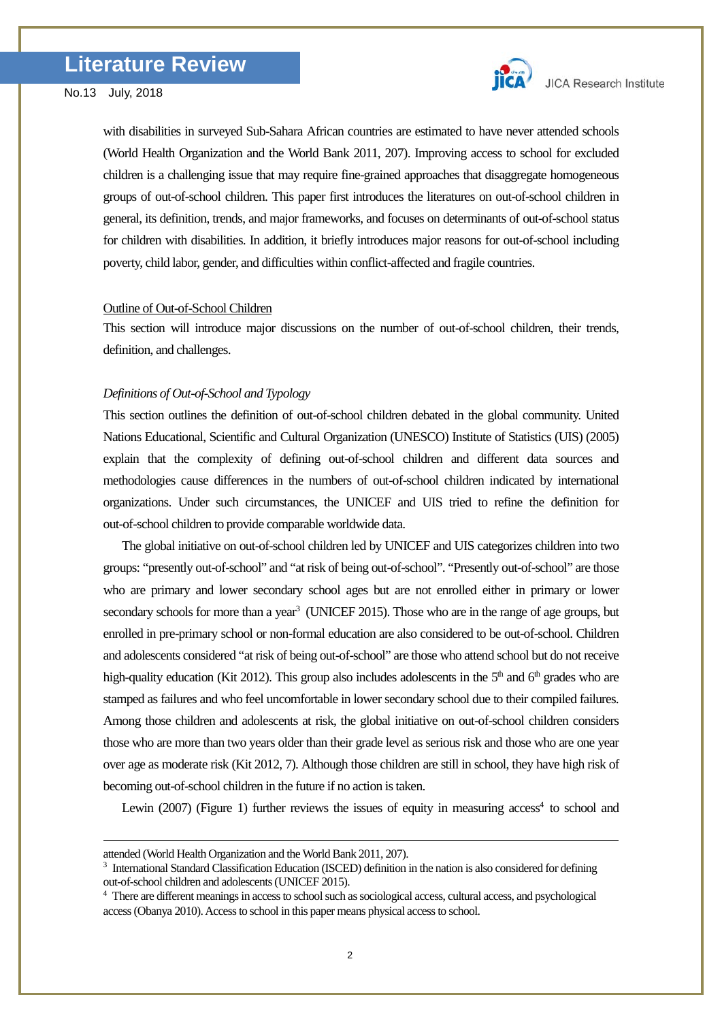

with disabilities in surveyed Sub-Sahara African countries are estimated to have never attended schools (World Health Organization and the World Bank 2011, 207). Improving access to school for excluded children is a challenging issue that may require fine-grained approaches that disaggregate homogeneous groups of out-of-school children. This paper first introduces the literatures on out-of-school children in general, its definition, trends, and major frameworks, and focuses on determinants of out-of-school status for children with disabilities. In addition, it briefly introduces major reasons for out-of-school including poverty, child labor, gender, and difficulties within conflict-affected and fragile countries.

### Outline of Out-of-School Children

This section will introduce major discussions on the number of out-of-school children, their trends, definition, and challenges.

### *Definitions of Out-of-School and Typology*

This section outlines the definition of out-of-school children debated in the global community. United Nations Educational, Scientific and Cultural Organization (UNESCO) Institute of Statistics (UIS) (2005) explain that the complexity of defining out-of-school children and different data sources and methodologies cause differences in the numbers of out-of-school children indicated by international organizations. Under such circumstances, the UNICEF and UIS tried to refine the definition for out-of-school children to provide comparable worldwide data.

The global initiative on out-of-school children led by UNICEF and UIS categorizes children into two groups: "presently out-of-school" and "at risk of being out-of-school". "Presently out-of-school" are those who are primary and lower secondary school ages but are not enrolled either in primary or lower secondary schools for more than a year<sup>3</sup> (UNICEF 2015). Those who are in the range of age groups, but enrolled in pre-primary school or non-formal education are also considered to be out-of-school. Children and adolescents considered "at risk of being out-of-school" are those who attend school but do not receive high-quality education (Kit 2012). This group also includes adolescents in the  $5<sup>th</sup>$  and  $6<sup>th</sup>$  grades who are stamped as failures and who feel uncomfortable in lower secondary school due to their compiled failures. Among those children and adolescents at risk, the global initiative on out-of-school children considers those who are more than two years older than their grade level as serious risk and those who are one year over age as moderate risk (Kit 2012, 7). Although those children are still in school, they have high risk of becoming out-of-school children in the future if no action is taken.

Lewin (2007) (Figure 1) further reviews the issues of equity in measuring  $\alpha$ ccess<sup>4</sup> to school and

<u>.</u>

<span id="page-1-0"></span>attended (World Health Organization and the World Bank 2011, 207).<br><sup>3</sup> International Standard Classification Education (ISCED) definition in the nation is also considered for defining out-of-school children and adolescents (UNICEF 2015).

<span id="page-1-1"></span><sup>4</sup> There are different meaningsin access to school such as sociological access, cultural access, and psychological access (Obanya 2010). Access to school in this paper means physical access to school.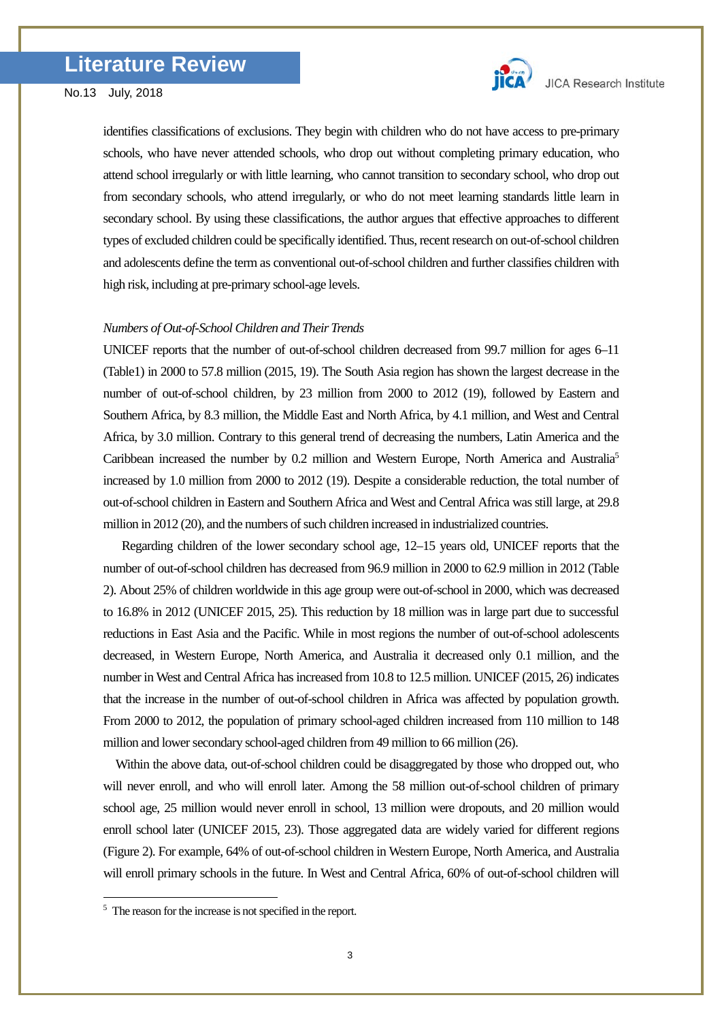

identifies classifications of exclusions. They begin with children who do not have access to pre-primary schools, who have never attended schools, who drop out without completing primary education, who attend school irregularly or with little learning, who cannot transition to secondary school, who drop out from secondary schools, who attend irregularly, or who do not meet learning standards little learn in secondary school. By using these classifications, the author argues that effective approaches to different types of excluded children could be specifically identified. Thus, recent research on out-of-school children and adolescents define the term as conventional out-of-school children and further classifies children with high risk, including at pre-primary school-age levels.

### *Numbers of Out-of-School Children and Their Trends*

UNICEF reports that the number of out-of-school children decreased from 99.7 million for ages 6–11 (Table1) in 2000 to 57.8 million (2015, 19). The South Asia region has shown the largest decrease in the number of out-of-school children, by 23 million from 2000 to 2012 (19), followed by Eastern and Southern Africa, by 8.3 million, the Middle East and North Africa, by 4.1 million, and West and Central Africa, by 3.0 million. Contrary to this general trend of decreasing the numbers, Latin America and the Caribbean increased the number by 0.2 million and Western Europe, North America and Australi[a5](#page-2-0) increased by 1.0 million from 2000 to 2012 (19). Despite a considerable reduction, the total number of out-of-school children in Eastern and Southern Africa and West and Central Africa was still large, at 29.8 million in 2012 (20), and the numbers of such children increased in industrialized countries.

 Regarding children of the lower secondary school age, 12–15 years old, UNICEF reports that the number of out-of-school children has decreased from 96.9 million in 2000 to 62.9 million in 2012 (Table 2). About 25% of children worldwide in this age group were out-of-school in 2000, which was decreased to 16.8% in 2012 (UNICEF 2015, 25). This reduction by 18 million was in large part due to successful reductions in East Asia and the Pacific. While in most regions the number of out-of-school adolescents decreased, in Western Europe, North America, and Australia it decreased only 0.1 million, and the number in West and Central Africa has increased from 10.8 to 12.5 million. UNICEF (2015, 26) indicates that the increase in the number of out-of-school children in Africa was affected by population growth. From 2000 to 2012, the population of primary school-aged children increased from 110 million to 148 million and lower secondary school-aged children from 49 million to 66 million (26).

 Within the above data, out-of-school children could be disaggregated by those who dropped out, who will never enroll, and who will enroll later. Among the 58 million out-of-school children of primary school age, 25 million would never enroll in school, 13 million were dropouts, and 20 million would enroll school later (UNICEF 2015, 23). Those aggregated data are widely varied for different regions (Figure 2). For example, 64% of out-of-school children in Western Europe, North America, and Australia will enroll primary schools in the future. In West and Central Africa, 60% of out-of-school children will

-

<span id="page-2-0"></span> $5$  The reason for the increase is not specified in the report.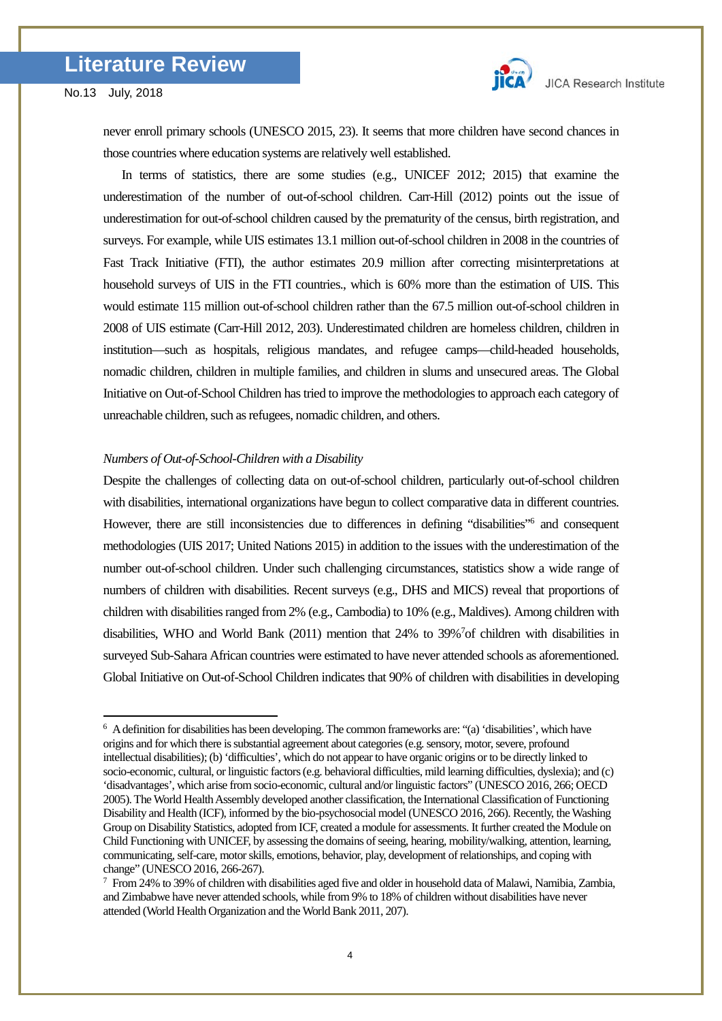-



never enroll primary schools (UNESCO 2015, 23). It seems that more children have second chances in those countries where education systems are relatively well established.

 In terms of statistics, there are some studies (e.g., UNICEF 2012; 2015) that examine the underestimation of the number of out-of-school children. Carr-Hill (2012) points out the issue of underestimation for out-of-school children caused by the prematurity of the census, birth registration, and surveys. For example, while UIS estimates 13.1 million out-of-school children in 2008 in the countries of Fast Track Initiative (FTI), the author estimates 20.9 million after correcting misinterpretations at household surveys of UIS in the FTI countries., which is 60% more than the estimation of UIS. This would estimate 115 million out-of-school children rather than the 67.5 million out-of-school children in 2008 of UIS estimate (Carr-Hill 2012, 203). Underestimated children are homeless children, children in institution—such as hospitals, religious mandates, and refugee camps—child-headed households, nomadic children, children in multiple families, and children in slums and unsecured areas. The Global Initiative on Out-of-School Children has tried to improve the methodologies to approach each category of unreachable children, such as refugees, nomadic children, and others.

#### *Numbers of Out-of-School-Children with a Disability*

Despite the challenges of collecting data on out-of-school children, particularly out-of-school children with disabilities, international organizations have begun to collect comparative data in different countries. However, there are still inconsistencies due to differences in defining "disabilities"<sup>6</sup> and consequent methodologies (UIS 2017; United Nations 2015) in addition to the issues with the underestimation of the number out-of-school children. Under such challenging circumstances, statistics show a wide range of numbers of children with disabilities. Recent surveys (e.g., DHS and MICS) reveal that proportions of children with disabilities ranged from 2% (e.g., Cambodia) to 10% (e.g., Maldives). Among children with disabilities, WHO and World Bank (2011) mention that 24% to 39%<sup>7</sup> of children with disabilities in surveyed Sub-Sahara African countries were estimated to have never attended schools as aforementioned. Global Initiative on Out-of-School Children indicates that 90% of children with disabilities in developing

<span id="page-3-0"></span><sup>6</sup> A definition for disabilities has been developing. The common frameworks are: "(a) 'disabilities', which have origins and for which there is substantial agreement about categories (e.g. sensory, motor, severe, profound intellectual disabilities); (b) 'difficulties', which do not appear to have organic origins or to be directly linked to socio-economic, cultural, or linguistic factors (e.g. behavioral difficulties, mild learning difficulties, dyslexia); and (c) 'disadvantages', which arise from socio-economic, cultural and/or linguistic factors" (UNESCO 2016, 266; OECD 2005). The World Health Assembly developed another classification, the International Classification of Functioning Disability and Health (ICF), informed by the bio-psychosocial model (UNESCO 2016, 266). Recently, the Washing Group on Disability Statistics, adopted from ICF, created a module for assessments. It further created the Module on Child Functioning with UNICEF, by assessing the domains of seeing, hearing, mobility/walking, attention, learning, communicating, self-care, motor skills, emotions, behavior, play, development of relationships, and coping with change" (UNESCO 2016, 266-267).

<span id="page-3-1"></span> $^7$  From 24% to 39% of children with disabilities aged five and older in household data of Malawi, Namibia, Zambia, and Zimbabwe have never attended schools, while from 9% to 18% of children without disabilities have never attended (World Health Organization and the World Bank 2011, 207).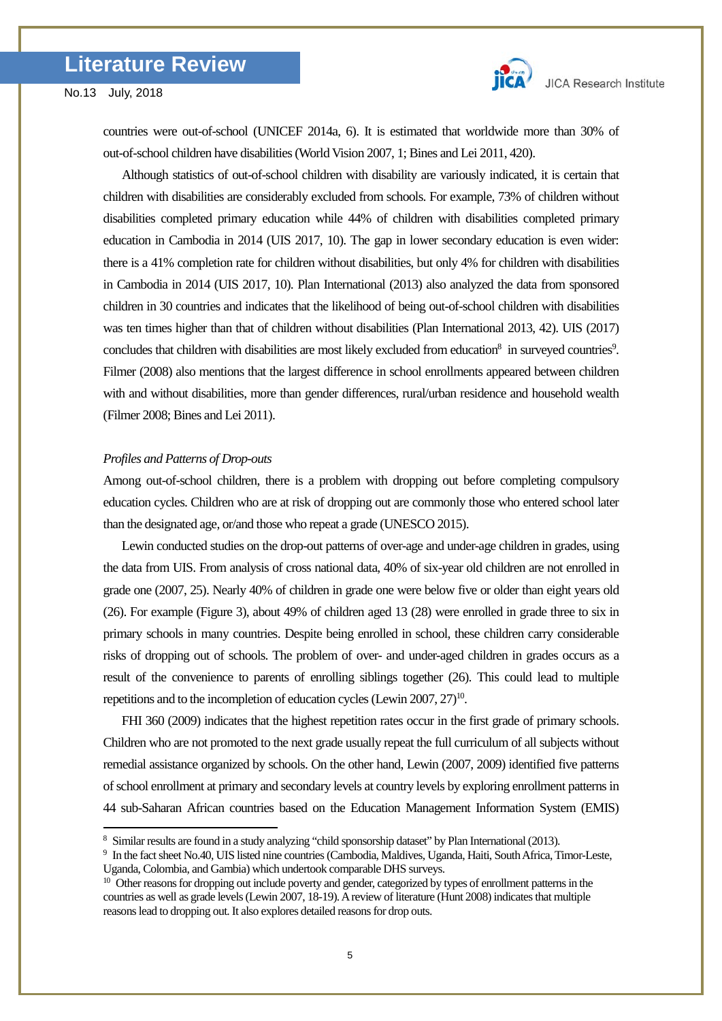

<u>.</u>

countries were out-of-school (UNICEF 2014a, 6). It is estimated that worldwide more than 30% of out-of-school children have disabilities (World Vision 2007, 1; Bines and Lei 2011, 420).

Although statistics of out-of-school children with disability are variously indicated, it is certain that children with disabilities are considerably excluded from schools. For example, 73% of children without disabilities completed primary education while 44% of children with disabilities completed primary education in Cambodia in 2014 (UIS 2017, 10). The gap in lower secondary education is even wider: there is a 41% completion rate for children without disabilities, but only 4% for children with disabilities in Cambodia in 2014 (UIS 2017, 10). Plan International (2013) also analyzed the data from sponsored children in 30 countries and indicates that the likelihood of being out-of-school children with disabilities was ten times higher than that of children without disabilities (Plan International 2013, 42). UIS (2017) concludes that children with disabilities are most likely excluded from education<sup>8</sup> in surveyed countries<sup>9</sup>. Filmer (2008) also mentions that the largest difference in school enrollments appeared between children with and without disabilities, more than gender differences, rural/urban residence and household wealth (Filmer 2008; Bines and Lei 2011).

### *Profiles and Patterns of Drop-outs*

Among out-of-school children, there is a problem with dropping out before completing compulsory education cycles. Children who are at risk of dropping out are commonly those who entered school later than the designated age, or/and those who repeat a grade (UNESCO 2015).

Lewin conducted studies on the drop-out patterns of over-age and under-age children in grades, using the data from UIS. From analysis of cross national data, 40% of six-year old children are not enrolled in grade one (2007, 25). Nearly 40% of children in grade one were below five or older than eight years old (26). For example (Figure 3), about 49% of children aged 13 (28) were enrolled in grade three to six in primary schools in many countries. Despite being enrolled in school, these children carry considerable risks of dropping out of schools. The problem of over- and under-aged children in grades occurs as a result of the convenience to parents of enrolling siblings together (26). This could lead to multiple repetitions and to the incompletion of education cycles (Lewin 2007, 27)<sup>10</sup>.

FHI 360 (2009) indicates that the highest repetition rates occur in the first grade of primary schools. Children who are not promoted to the next grade usually repeat the full curriculum of all subjects without remedial assistance organized by schools. On the other hand, Lewin (2007, 2009) identified five patterns of school enrollment at primary and secondary levels at country levels by exploring enrollment patterns in 44 sub-Saharan African countries based on the Education Management Information System (EMIS)

<span id="page-4-0"></span><sup>8</sup> Similar results are found in a study analyzing "child sponsorship dataset" by Plan International (2013).

<span id="page-4-1"></span><sup>&</sup>lt;sup>9</sup> In the fact sheet No.40, UIS listed nine countries (Cambodia, Maldives, Uganda, Haiti, South Africa, Timor-Leste, Uganda, Colombia, and Gambia) which undertook comparable DHS surveys.

<span id="page-4-2"></span><sup>&</sup>lt;sup>10</sup> Other reasons for dropping out include poverty and gender, categorized by types of enrollment patterns in the countries as well as grade levels (Lewin 2007, 18-19). A review of literature (Hunt 2008) indicates that multiple reasons lead to dropping out. It also explores detailed reasons for drop outs.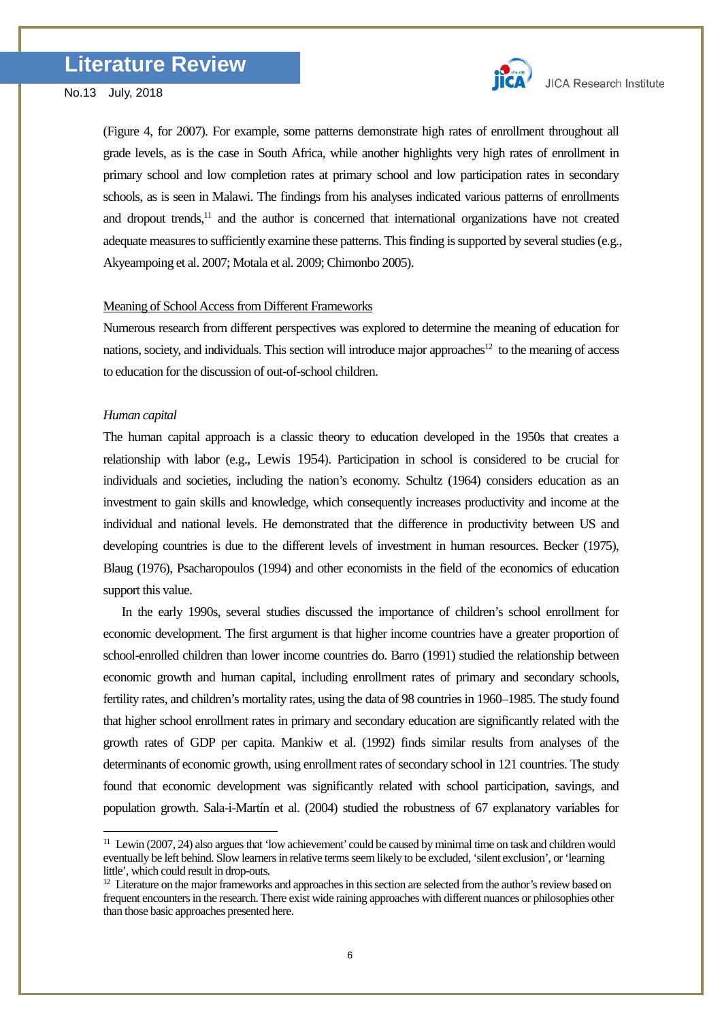

(Figure 4, for 2007). For example, some patterns demonstrate high rates of enrollment throughout all grade levels, as is the case in South Africa, while another highlights very high rates of enrollment in primary school and low completion rates at primary school and low participation rates in secondary schools, as is seen in Malawi. The findings from his analyses indicated various patterns of enrollments and dropout trends,<sup>[11](#page-5-0)</sup> and the author is concerned that international organizations have not created adequate measures to sufficiently examine these patterns. This finding is supported by several studies (e.g., Akyeampoing et al. 2007; Motala et al. 2009; Chimonbo 2005).

#### Meaning of School Access from Different Frameworks

Numerous research from different perspectives was explored to determine the meaning of education for nations, society, and individuals. This section will introduce major approaches<sup>12</sup> to the meaning of access to education for the discussion of out-of-school children.

#### *Human capital*

-

The human capital approach is a classic theory to education developed in the 1950s that creates a relationship with labor (e.g., Lewis 1954). Participation in school is considered to be crucial for individuals and societies, including the nation's economy. Schultz (1964) considers education as an investment to gain skills and knowledge, which consequently increases productivity and income at the individual and national levels. He demonstrated that the difference in productivity between US and developing countries is due to the different levels of investment in human resources. Becker (1975), Blaug (1976), Psacharopoulos (1994) and other economists in the field of the economics of education support this value.

In the early 1990s, several studies discussed the importance of children's school enrollment for economic development. The first argument is that higher income countries have a greater proportion of school-enrolled children than lower income countries do. Barro (1991) studied the relationship between economic growth and human capital, including enrollment rates of primary and secondary schools, fertility rates, and children's mortality rates, using the data of 98 countries in 1960–1985. The study found that higher school enrollment rates in primary and secondary education are significantly related with the growth rates of GDP per capita. Mankiw et al. (1992) finds similar results from analyses of the determinants of economic growth, using enrollment rates of secondary school in 121 countries. The study found that economic development was significantly related with school participation, savings, and population growth. Sala-i-Martín et al. (2004) studied the robustness of 67 explanatory variables for

<span id="page-5-0"></span> $11$  Lewin (2007, 24) also argues that 'low achievement' could be caused by minimal time on task and children would eventually be left behind. Slow learners in relative terms seem likely to be excluded, 'silent exclusion', or 'learning little', which could result in drop-outs.

<span id="page-5-1"></span> $12$  Literature on the major frameworks and approaches in this section are selected from the author's review based on frequent encounters in the research. There exist wide raining approaches with different nuances or philosophies other than those basic approaches presented here.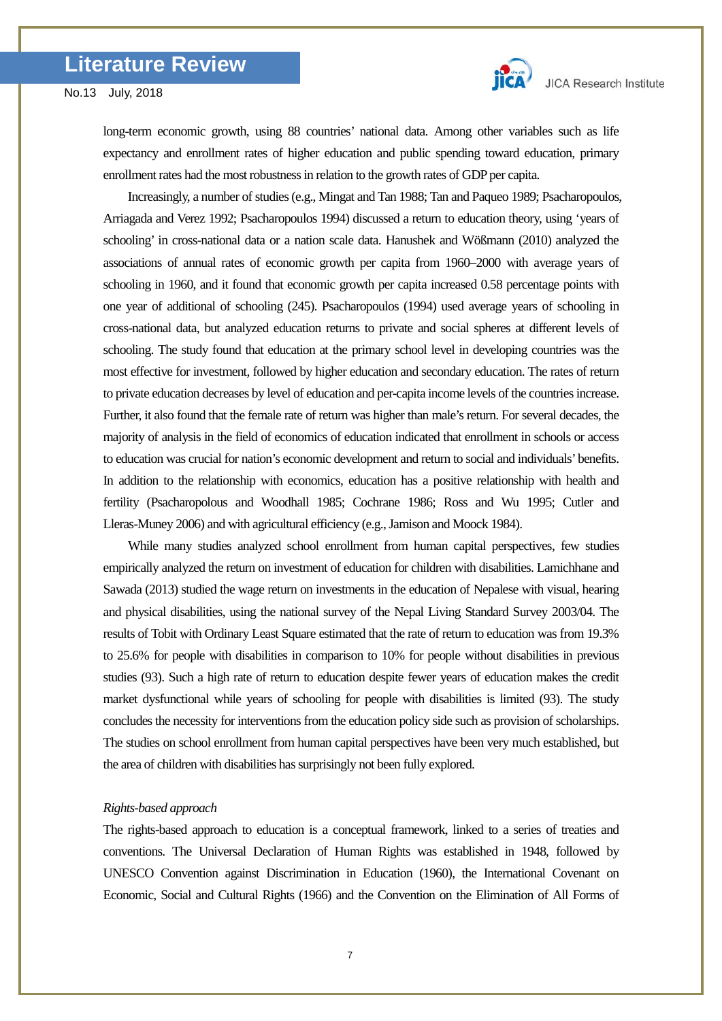

long-term economic growth, using 88 countries' national data. Among other variables such as life expectancy and enrollment rates of higher education and public spending toward education, primary enrollment rates had the most robustness in relation to the growth rates of GDP per capita.

Increasingly, a number of studies (e.g., Mingat and Tan 1988; Tan and Paqueo 1989; Psacharopoulos, Arriagada and Verez 1992; Psacharopoulos 1994) discussed a return to education theory, using 'years of schooling' in cross-national data or a nation scale data. Hanushek and Wößmann (2010) analyzed the associations of annual rates of economic growth per capita from 1960–2000 with average years of schooling in 1960, and it found that economic growth per capita increased 0.58 percentage points with one year of additional of schooling (245). Psacharopoulos (1994) used average years of schooling in cross-national data, but analyzed education returns to private and social spheres at different levels of schooling. The study found that education at the primary school level in developing countries was the most effective for investment, followed by higher education and secondary education. The rates of return to private education decreases by level of education and per-capita income levels of the countries increase. Further, it also found that the female rate of return was higher than male's return. For several decades, the majority of analysis in the field of economics of education indicated that enrollment in schools or access to education was crucial for nation's economic development and return to social and individuals' benefits. In addition to the relationship with economics, education has a positive relationship with health and fertility (Psacharopolous and Woodhall 1985; Cochrane 1986; Ross and Wu 1995; Cutler and Lleras-Muney 2006) and with agricultural efficiency (e.g., Jamison and Moock 1984).

While many studies analyzed school enrollment from human capital perspectives, few studies empirically analyzed the return on investment of education for children with disabilities. Lamichhane and Sawada (2013) studied the wage return on investments in the education of Nepalese with visual, hearing and physical disabilities, using the national survey of the Nepal Living Standard Survey 2003/04. The results of Tobit with Ordinary Least Square estimated that the rate of return to education was from 19.3% to 25.6% for people with disabilities in comparison to 10% for people without disabilities in previous studies (93). Such a high rate of return to education despite fewer years of education makes the credit market dysfunctional while years of schooling for people with disabilities is limited (93). The study concludes the necessity for interventions from the education policy side such as provision of scholarships. The studies on school enrollment from human capital perspectives have been very much established, but the area of children with disabilities has surprisingly not been fully explored.

# *Rights-based approach*

The rights-based approach to education is a conceptual framework, linked to a series of treaties and conventions. The Universal Declaration of Human Rights was established in 1948, followed by UNESCO Convention against Discrimination in Education (1960), the International Covenant on Economic, Social and Cultural Rights (1966) and the Convention on the Elimination of All Forms of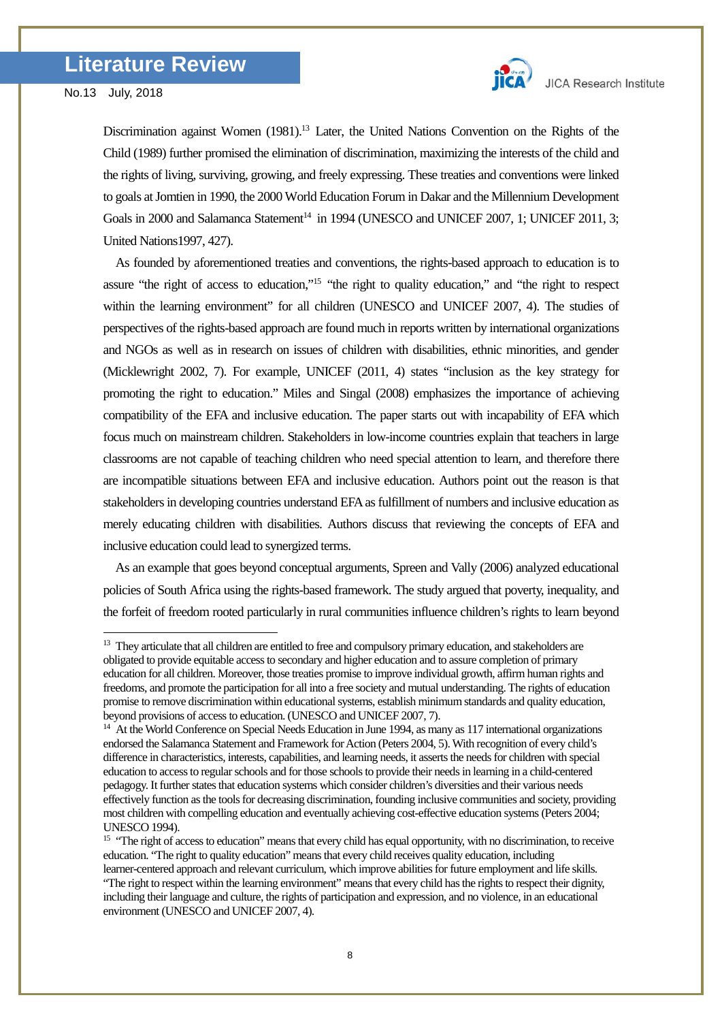-

Discrimination against Women (1981).<sup>[13](#page-7-0)</sup> Later, the United Nations Convention on the Rights of the Child (1989) further promised the elimination of discrimination, maximizing the interests of the child and the rights of living, surviving, growing, and freely expressing. These treaties and conventions were linked to goals at Jomtien in 1990, the 2000 World Education Forum in Dakar and the Millennium Development Goals in 2000 and Salamanca Statement<sup>14</sup> in 1994 (UNESCO and UNICEF 2007, 1; UNICEF 2011, 3; United Nations1997, 427).

 As founded by aforementioned treaties and conventions, the rights-based approach to education is to assure "the right of access to education,["15](#page-7-2) "the right to quality education," and "the right to respect within the learning environment" for all children (UNESCO and UNICEF 2007, 4). The studies of perspectives of the rights-based approach are found much in reports written by international organizations and NGOs as well as in research on issues of children with disabilities, ethnic minorities, and gender (Micklewright 2002, 7). For example, UNICEF (2011, 4) states "inclusion as the key strategy for promoting the right to education." Miles and Singal (2008) emphasizes the importance of achieving compatibility of the EFA and inclusive education. The paper starts out with incapability of EFA which focus much on mainstream children. Stakeholders in low-income countries explain that teachers in large classrooms are not capable of teaching children who need special attention to learn, and therefore there are incompatible situations between EFA and inclusive education. Authors point out the reason is that stakeholders in developing countries understand EFA as fulfillment of numbers and inclusive education as merely educating children with disabilities. Authors discuss that reviewing the concepts of EFA and inclusive education could lead to synergized terms.

As an example that goes beyond conceptual arguments, Spreen and Vally (2006) analyzed educational policies of South Africa using the rights-based framework. The study argued that poverty, inequality, and the forfeit of freedom rooted particularly in rural communities influence children's rights to learn beyond

<span id="page-7-0"></span><sup>&</sup>lt;sup>13</sup> They articulate that all children are entitled to free and compulsory primary education, and stakeholders are obligated to provide equitable access to secondary and higher education and to assure completion of primary education for all children. Moreover, those treaties promise to improve individual growth, affirm human rights and freedoms, and promote the participation for all into a free society and mutual understanding. The rights of education promise to remove discrimination within educational systems, establish minimum standards and quality education, beyond provisions of access to education. (UNESCO and UNICEF 2007, 7).

<span id="page-7-1"></span><sup>&</sup>lt;sup>14</sup> At the World Conference on Special Needs Education in June 1994, as many as 117 international organizations endorsed the Salamanca Statement and Framework for Action (Peters 2004, 5). With recognition of every child's difference in characteristics, interests, capabilities, and learning needs, it asserts the needs for children with special education to access to regular schools and for those schools to provide their needs in learning in a child-centered pedagogy. It further states that education systems which consider children's diversities and their various needs effectively function as the tools for decreasing discrimination, founding inclusive communities and society, providing most children with compelling education and eventually achieving cost-effective education systems (Peters 2004; UNESCO 1994).

<span id="page-7-2"></span><sup>&</sup>lt;sup>15</sup> "The right of access to education" means that every child has equal opportunity, with no discrimination, to receive education. "The right to quality education" means that every child receives quality education, including learner-centered approach and relevant curriculum, which improve abilities for future employment and life skills. "The right to respect within the learning environment" means that every child has the rights to respect their dignity,

including their language and culture, the rights of participation and expression, and no violence, in an educational environment (UNESCO and UNICEF 2007, 4).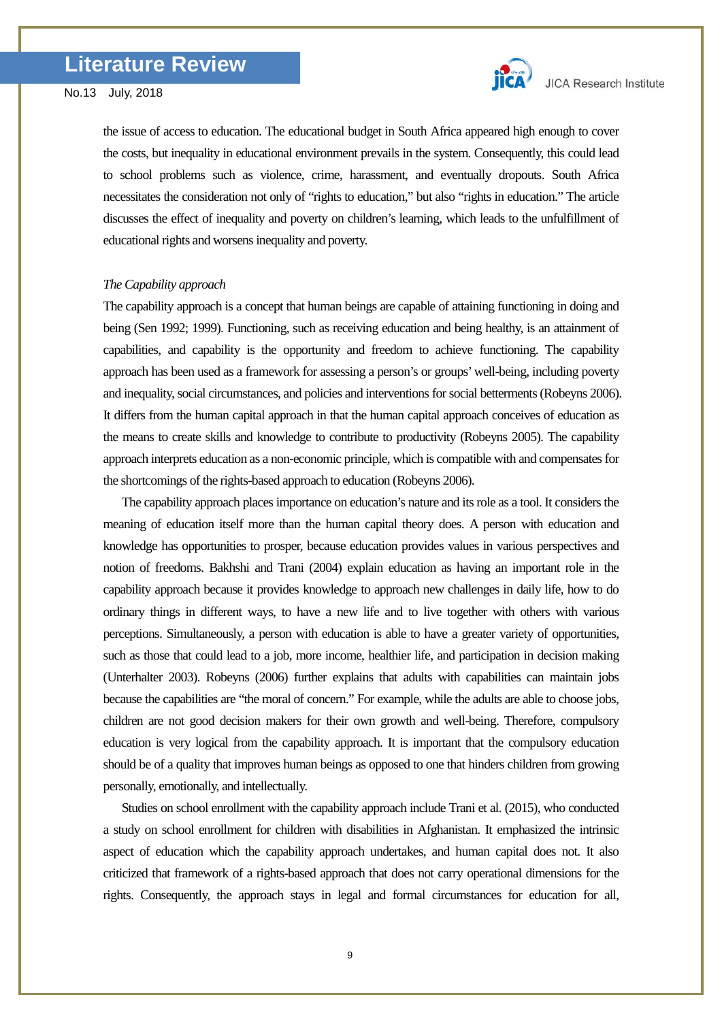

the issue of access to education. The educational budget in South Africa appeared high enough to cover the costs, but inequality in educational environment prevails in the system. Consequently, this could lead to school problems such as violence, crime, harassment, and eventually dropouts. South Africa necessitates the consideration not only of "rights to education," but also "rights in education." The article discusses the effect of inequality and poverty on children's learning, which leads to the unfulfillment of educational rights and worsens inequality and poverty.

### *The Capability approach*

The capability approach is a concept that human beings are capable of attaining functioning in doing and being (Sen 1992; 1999). Functioning, such as receiving education and being healthy, is an attainment of capabilities, and capability is the opportunity and freedom to achieve functioning. The capability approach has been used as a framework for assessing a person's or groups' well-being, including poverty and inequality, social circumstances, and policies and interventions for social betterments (Robeyns 2006). It differs from the human capital approach in that the human capital approach conceives of education as the means to create skills and knowledge to contribute to productivity (Robeyns 2005). The capability approach interprets education as a non-economic principle, which is compatible with and compensates for the shortcomings of the rights-based approach to education (Robeyns 2006).

 The capability approach places importance on education's nature and itsrole as a tool. It considers the meaning of education itself more than the human capital theory does. A person with education and knowledge has opportunities to prosper, because education provides values in various perspectives and notion of freedoms. Bakhshi and Trani (2004) explain education as having an important role in the capability approach because it provides knowledge to approach new challenges in daily life, how to do ordinary things in different ways, to have a new life and to live together with others with various perceptions. Simultaneously, a person with education is able to have a greater variety of opportunities, such as those that could lead to a job, more income, healthier life, and participation in decision making (Unterhalter 2003). Robeyns (2006) further explains that adults with capabilities can maintain jobs because the capabilities are "the moral of concern." For example, while the adults are able to choose jobs, children are not good decision makers for their own growth and well-being. Therefore, compulsory education is very logical from the capability approach. It is important that the compulsory education should be of a quality that improves human beings as opposed to one that hinders children from growing personally, emotionally, and intellectually.

 Studies on school enrollment with the capability approach include Trani et al. (2015), who conducted a study on school enrollment for children with disabilities in Afghanistan. It emphasized the intrinsic aspect of education which the capability approach undertakes, and human capital does not. It also criticized that framework of a rights-based approach that does not carry operational dimensions for the rights. Consequently, the approach stays in legal and formal circumstances for education for all,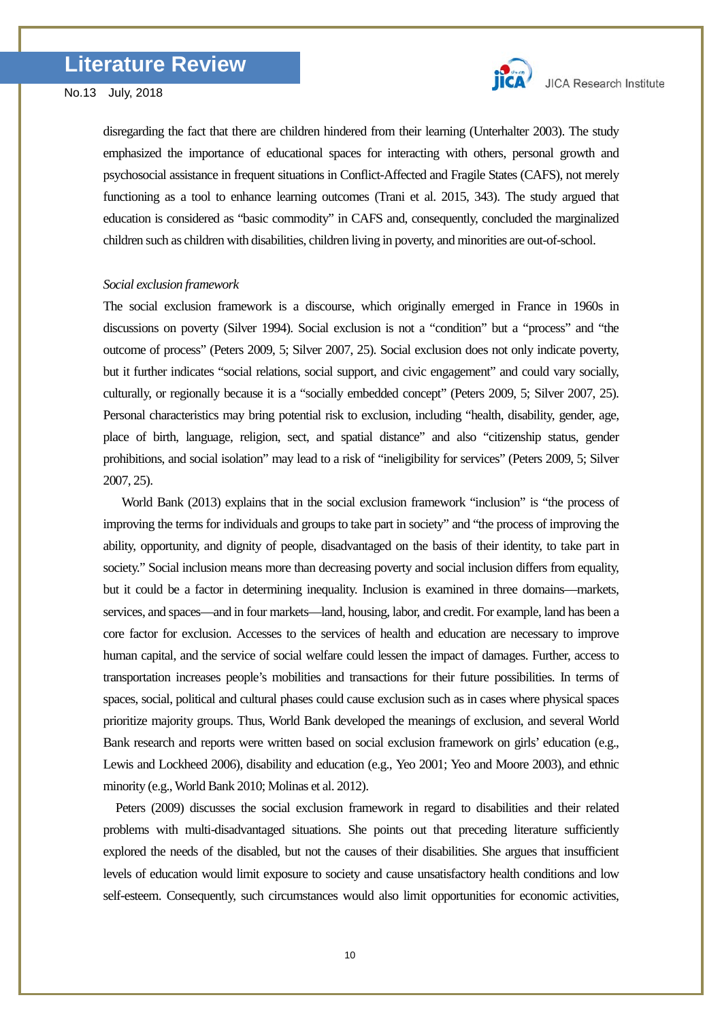

disregarding the fact that there are children hindered from their learning (Unterhalter 2003). The study emphasized the importance of educational spaces for interacting with others, personal growth and psychosocial assistance in frequent situations in Conflict-Affected and Fragile States (CAFS), not merely functioning as a tool to enhance learning outcomes (Trani et al. 2015, 343). The study argued that education is considered as "basic commodity" in CAFS and, consequently, concluded the marginalized children such as children with disabilities, children living in poverty, and minorities are out-of-school.

### *Social exclusion framework*

The social exclusion framework is a discourse, which originally emerged in France in 1960s in discussions on poverty (Silver 1994). Social exclusion is not a "condition" but a "process" and "the outcome of process" (Peters 2009, 5; Silver 2007, 25). Social exclusion does not only indicate poverty, but it further indicates "social relations, social support, and civic engagement" and could vary socially, culturally, or regionally because it is a "socially embedded concept" (Peters 2009, 5; Silver 2007, 25). Personal characteristics may bring potential risk to exclusion, including "health, disability, gender, age, place of birth, language, religion, sect, and spatial distance" and also "citizenship status, gender prohibitions, and social isolation" may lead to a risk of "ineligibility for services" (Peters 2009, 5; Silver 2007, 25).

World Bank (2013) explains that in the social exclusion framework "inclusion" is "the process of improving the terms for individuals and groups to take part in society" and "the process of improving the ability, opportunity, and dignity of people, disadvantaged on the basis of their identity, to take part in society." Social inclusion means more than decreasing poverty and social inclusion differs from equality, but it could be a factor in determining inequality. Inclusion is examined in three domains—markets, services, and spaces—and in four markets—land, housing, labor, and credit. For example, land has been a core factor for exclusion. Accesses to the services of health and education are necessary to improve human capital, and the service of social welfare could lessen the impact of damages. Further, access to transportation increases people's mobilities and transactions for their future possibilities. In terms of spaces, social, political and cultural phases could cause exclusion such as in cases where physical spaces prioritize majority groups. Thus, World Bank developed the meanings of exclusion, and several World Bank research and reports were written based on social exclusion framework on girls' education (e.g., Lewis and Lockheed 2006), disability and education (e.g., Yeo 2001; Yeo and Moore 2003), and ethnic minority (e.g., World Bank 2010; Molinas et al. 2012).

Peters (2009) discusses the social exclusion framework in regard to disabilities and their related problems with multi-disadvantaged situations. She points out that preceding literature sufficiently explored the needs of the disabled, but not the causes of their disabilities. She argues that insufficient levels of education would limit exposure to society and cause unsatisfactory health conditions and low self-esteem. Consequently, such circumstances would also limit opportunities for economic activities,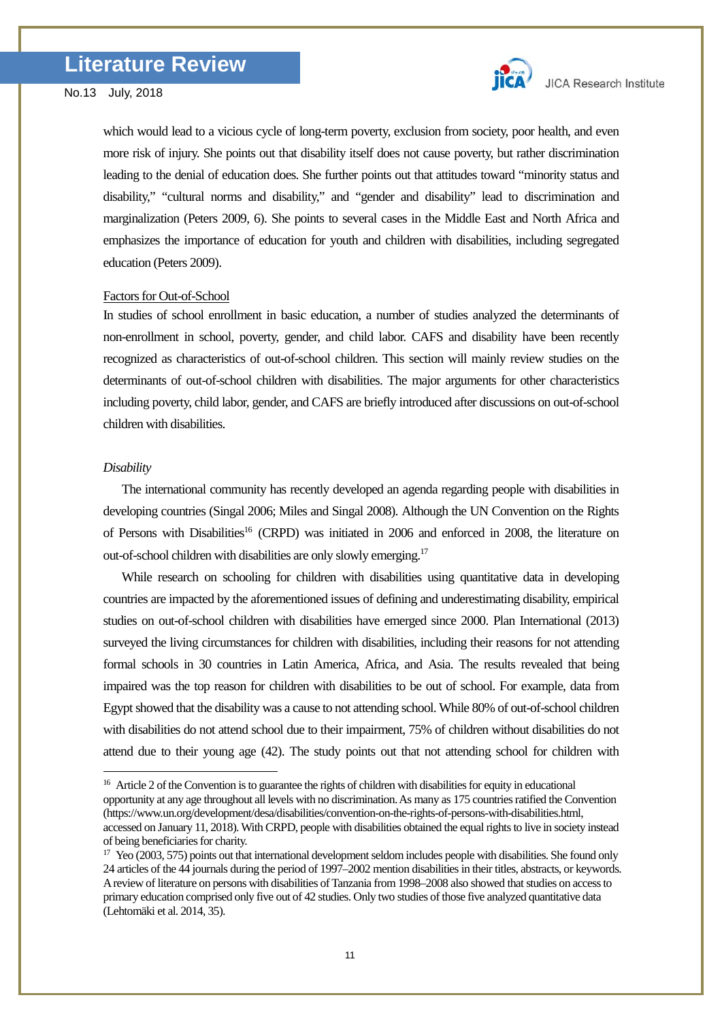

which would lead to a vicious cycle of long-term poverty, exclusion from society, poor health, and even more risk of injury. She points out that disability itself does not cause poverty, but rather discrimination leading to the denial of education does. She further points out that attitudes toward "minority status and disability," "cultural norms and disability," and "gender and disability" lead to discrimination and marginalization (Peters 2009, 6). She points to several cases in the Middle East and North Africa and emphasizes the importance of education for youth and children with disabilities, including segregated education (Peters 2009).

# Factors for Out-of-School

In studies of school enrollment in basic education, a number of studies analyzed the determinants of non-enrollment in school, poverty, gender, and child labor. CAFS and disability have been recently recognized as characteristics of out-of-school children. This section will mainly review studies on the determinants of out-of-school children with disabilities. The major arguments for other characteristics including poverty, child labor, gender, and CAFS are briefly introduced after discussions on out-of-school children with disabilities.

# *Disability*

<u>.</u>

The international community has recently developed an agenda regarding people with disabilities in developing countries (Singal 2006; Miles and Singal 2008). Although the UN Convention on the Rights of Persons with Disabilities<sup>16</sup> (CRPD) was initiated in 2006 and enforced in 2008, the literature on out-of-school children with disabilities are only slowly emerging.<sup>[17](#page-10-1)</sup>

While research on schooling for children with disabilities using quantitative data in developing countries are impacted by the aforementioned issues of defining and underestimating disability, empirical studies on out-of-school children with disabilities have emerged since 2000. Plan International (2013) surveyed the living circumstances for children with disabilities, including their reasons for not attending formal schools in 30 countries in Latin America, Africa, and Asia. The results revealed that being impaired was the top reason for children with disabilities to be out of school. For example, data from Egypt showed that the disability was a cause to not attending school. While 80% of out-of-school children with disabilities do not attend school due to their impairment, 75% of children without disabilities do not attend due to their young age (42). The study points out that not attending school for children with

<span id="page-10-0"></span><sup>&</sup>lt;sup>16</sup> Article 2 of the Convention is to guarantee the rights of children with disabilities for equity in educational opportunity at any age throughout all levels with no discrimination. As many as 175 countries ratified the Convention (https://www.un.org/development/desa/disabilities/convention-on-the-rights-of-persons-with-disabilities.html, accessed on January 11, 2018). With CRPD, people with disabilities obtained the equal rights to live in society instead

<span id="page-10-1"></span>of being beneficiaries for charity.<br><sup>17</sup> Yeo (2003, 575) points out that international development seldom includes people with disabilities. She found only 24 articles of the 44 journals during the period of 1997–2002 mention disabilities in their titles, abstracts, or keywords. A review of literature on persons with disabilities of Tanzania from 1998–2008 also showed that studies on access to primary education comprised only five out of 42 studies. Only two studies of those five analyzed quantitative data (Lehtomäki et al. 2014, 35).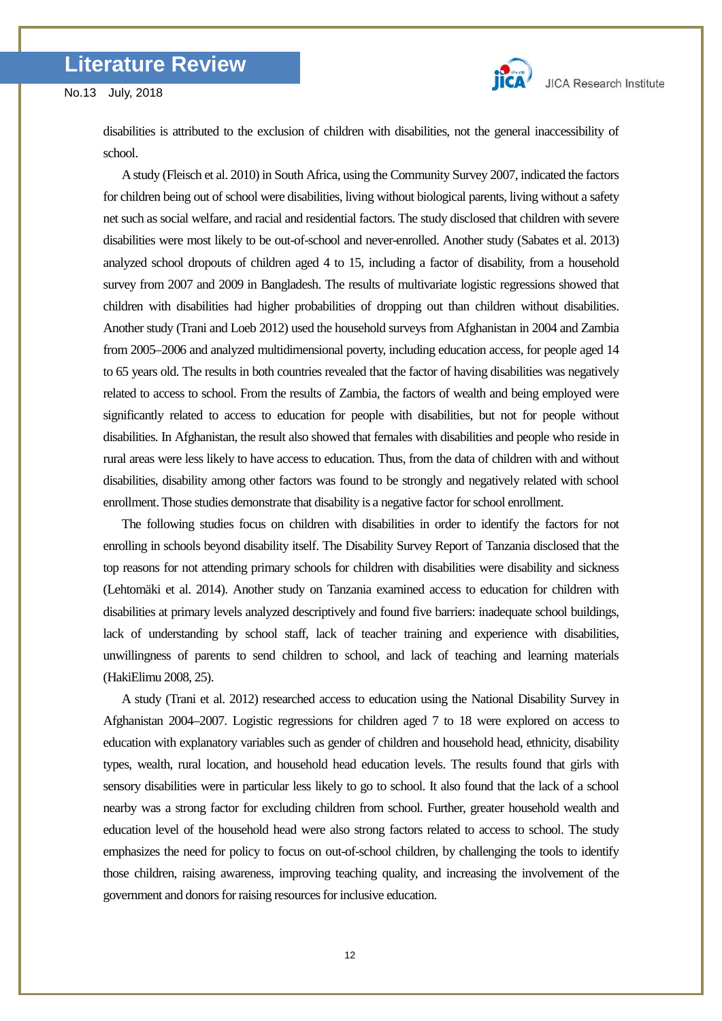

disabilities is attributed to the exclusion of children with disabilities, not the general inaccessibility of school.

A study (Fleisch et al. 2010) in South Africa, using the Community Survey 2007, indicated the factors for children being out of school were disabilities, living without biological parents, living without a safety net such as social welfare, and racial and residential factors. The study disclosed that children with severe disabilities were most likely to be out-of-school and never-enrolled. Another study (Sabates et al. 2013) analyzed school dropouts of children aged 4 to 15, including a factor of disability, from a household survey from 2007 and 2009 in Bangladesh. The results of multivariate logistic regressions showed that children with disabilities had higher probabilities of dropping out than children without disabilities. Another study (Trani and Loeb 2012) used the household surveys from Afghanistan in 2004 and Zambia from 2005–2006 and analyzed multidimensional poverty, including education access, for people aged 14 to 65 years old. The results in both countries revealed that the factor of having disabilities was negatively related to access to school. From the results of Zambia, the factors of wealth and being employed were significantly related to access to education for people with disabilities, but not for people without disabilities. In Afghanistan, the result also showed that females with disabilities and people who reside in rural areas were less likely to have access to education. Thus, from the data of children with and without disabilities, disability among other factors was found to be strongly and negatively related with school enrollment. Those studies demonstrate that disability is a negative factor for school enrollment.

The following studies focus on children with disabilities in order to identify the factors for not enrolling in schools beyond disability itself. The Disability Survey Report of Tanzania disclosed that the top reasons for not attending primary schools for children with disabilities were disability and sickness (Lehtomäki et al. 2014). Another study on Tanzania examined access to education for children with disabilities at primary levels analyzed descriptively and found five barriers: inadequate school buildings, lack of understanding by school staff, lack of teacher training and experience with disabilities, unwillingness of parents to send children to school, and lack of teaching and learning materials (HakiElimu 2008, 25).

A study (Trani et al. 2012) researched access to education using the National Disability Survey in Afghanistan 2004–2007. Logistic regressions for children aged 7 to 18 were explored on access to education with explanatory variables such as gender of children and household head, ethnicity, disability types, wealth, rural location, and household head education levels. The results found that girls with sensory disabilities were in particular less likely to go to school. It also found that the lack of a school nearby was a strong factor for excluding children from school. Further, greater household wealth and education level of the household head were also strong factors related to access to school. The study emphasizes the need for policy to focus on out-of-school children, by challenging the tools to identify those children, raising awareness, improving teaching quality, and increasing the involvement of the government and donors for raising resources for inclusive education.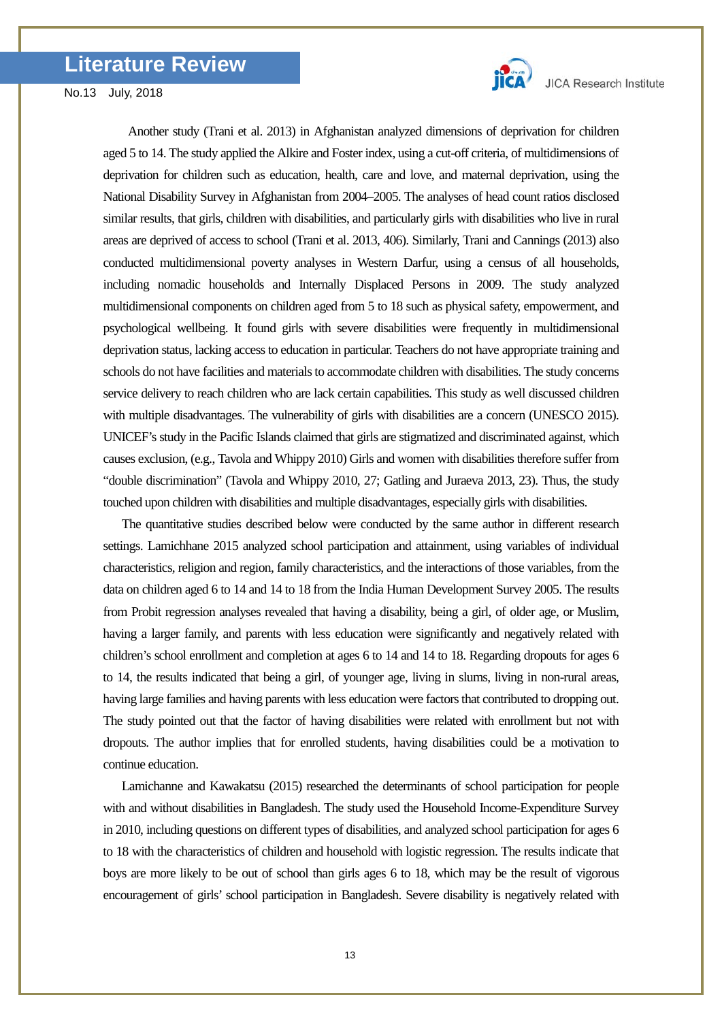

Another study (Trani et al. 2013) in Afghanistan analyzed dimensions of deprivation for children aged 5 to 14. The study applied the Alkire and Foster index, using a cut-off criteria, of multidimensions of deprivation for children such as education, health, care and love, and maternal deprivation, using the National Disability Survey in Afghanistan from 2004–2005. The analyses of head count ratios disclosed similar results, that girls, children with disabilities, and particularly girls with disabilities who live in rural areas are deprived of access to school (Trani et al. 2013, 406). Similarly, Trani and Cannings (2013) also conducted multidimensional poverty analyses in Western Darfur, using a census of all households, including nomadic households and Internally Displaced Persons in 2009. The study analyzed multidimensional components on children aged from 5 to 18 such as physical safety, empowerment, and psychological wellbeing. It found girls with severe disabilities were frequently in multidimensional deprivation status, lacking access to education in particular. Teachers do not have appropriate training and schools do not have facilities and materials to accommodate children with disabilities. The study concerns service delivery to reach children who are lack certain capabilities. This study as well discussed children with multiple disadvantages. The vulnerability of girls with disabilities are a concern (UNESCO 2015). UNICEF's study in the Pacific Islands claimed that girls are stigmatized and discriminated against, which causes exclusion, (e.g., Tavola and Whippy 2010) Girls and women with disabilities therefore suffer from "double discrimination" (Tavola and Whippy 2010, 27; Gatling and Juraeva 2013, 23). Thus, the study touched upon children with disabilities and multiple disadvantages, especially girls with disabilities.

The quantitative studies described below were conducted by the same author in different research settings. Lamichhane 2015 analyzed school participation and attainment, using variables of individual characteristics, religion and region, family characteristics, and the interactions of those variables, from the data on children aged 6 to 14 and 14 to 18 from the India Human Development Survey 2005. The results from Probit regression analyses revealed that having a disability, being a girl, of older age, or Muslim, having a larger family, and parents with less education were significantly and negatively related with children's school enrollment and completion at ages 6 to 14 and 14 to 18. Regarding dropouts for ages 6 to 14, the results indicated that being a girl, of younger age, living in slums, living in non-rural areas, having large families and having parents with less education were factors that contributed to dropping out. The study pointed out that the factor of having disabilities were related with enrollment but not with dropouts. The author implies that for enrolled students, having disabilities could be a motivation to continue education.

 Lamichanne and Kawakatsu (2015) researched the determinants of school participation for people with and without disabilities in Bangladesh. The study used the Household Income-Expenditure Survey in 2010, including questions on different types of disabilities, and analyzed school participation for ages 6 to 18 with the characteristics of children and household with logistic regression. The results indicate that boys are more likely to be out of school than girls ages 6 to 18, which may be the result of vigorous encouragement of girls' school participation in Bangladesh. Severe disability is negatively related with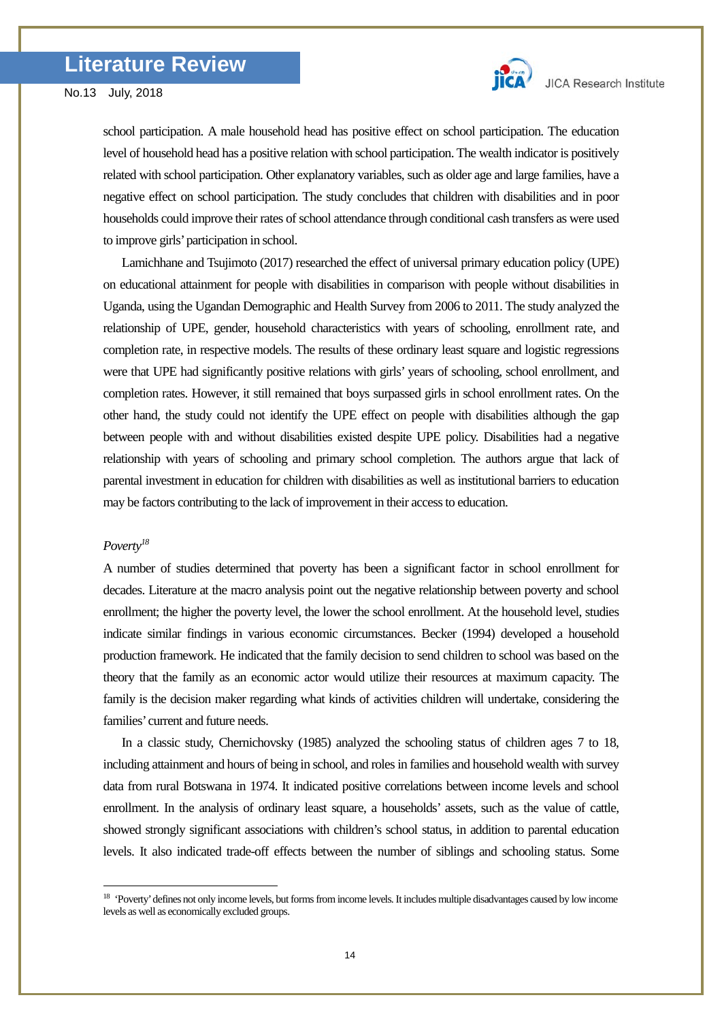

school participation. A male household head has positive effect on school participation. The education level of household head has a positive relation with school participation. The wealth indicator is positively related with school participation. Other explanatory variables, such as older age and large families, have a negative effect on school participation. The study concludes that children with disabilities and in poor households could improve their rates of school attendance through conditional cash transfers as were used to improve girls' participation in school.

Lamichhane and Tsujimoto (2017) researched the effect of universal primary education policy (UPE) on educational attainment for people with disabilities in comparison with people without disabilities in Uganda, using the Ugandan Demographic and Health Survey from 2006 to 2011. The study analyzed the relationship of UPE, gender, household characteristics with years of schooling, enrollment rate, and completion rate, in respective models. The results of these ordinary least square and logistic regressions were that UPE had significantly positive relations with girls' years of schooling, school enrollment, and completion rates. However, it still remained that boys surpassed girls in school enrollment rates. On the other hand, the study could not identify the UPE effect on people with disabilities although the gap between people with and without disabilities existed despite UPE policy. Disabilities had a negative relationship with years of schooling and primary school completion. The authors argue that lack of parental investment in education for children with disabilities as well as institutional barriers to education may be factors contributing to the lack of improvement in their access to education.

# *Poverty[18](#page-13-0)*

-

A number of studies determined that poverty has been a significant factor in school enrollment for decades. Literature at the macro analysis point out the negative relationship between poverty and school enrollment; the higher the poverty level, the lower the school enrollment. At the household level, studies indicate similar findings in various economic circumstances. Becker (1994) developed a household production framework. He indicated that the family decision to send children to school was based on the theory that the family as an economic actor would utilize their resources at maximum capacity. The family is the decision maker regarding what kinds of activities children will undertake, considering the families' current and future needs.

In a classic study, Chernichovsky (1985) analyzed the schooling status of children ages 7 to 18, including attainment and hours of being in school, and roles in families and household wealth with survey data from rural Botswana in 1974. It indicated positive correlations between income levels and school enrollment. In the analysis of ordinary least square, a households' assets, such as the value of cattle, showed strongly significant associations with children's school status, in addition to parental education levels. It also indicated trade-off effects between the number of siblings and schooling status. Some

<span id="page-13-0"></span><sup>&</sup>lt;sup>18</sup> 'Poverty' defines not only income levels, but forms from income levels. It includes multiple disadvantages caused by low income levels as well as economically excluded groups.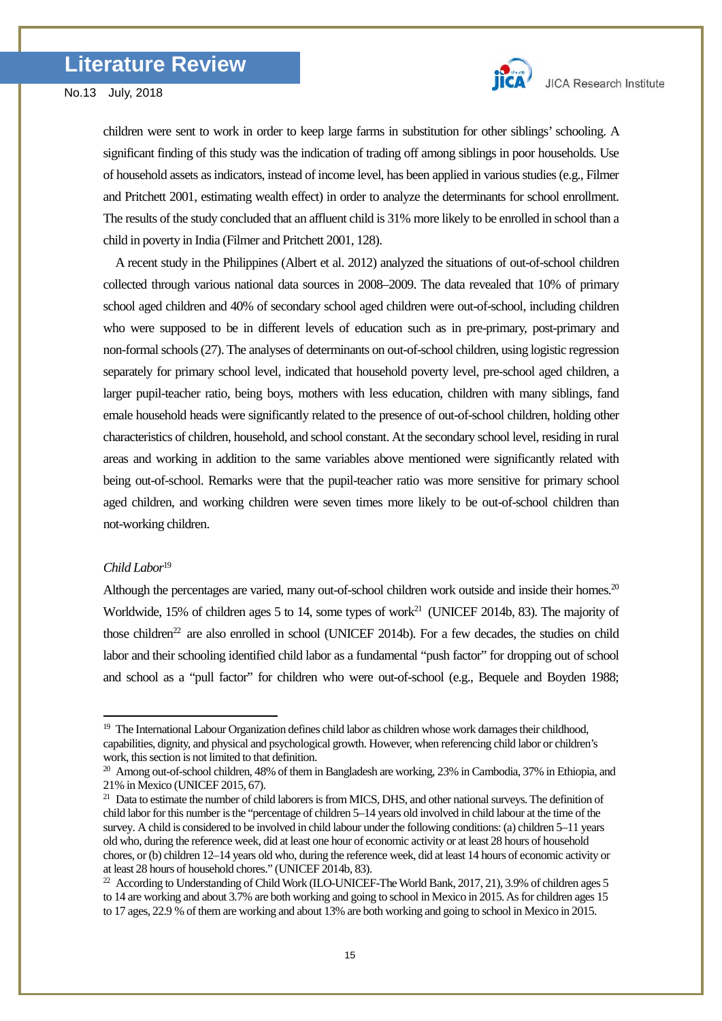

children were sent to work in order to keep large farms in substitution for other siblings' schooling. A significant finding of this study was the indication of trading off among siblings in poor households. Use of household assets as indicators, instead of income level, has been applied in various studies (e.g., Filmer and Pritchett 2001, estimating wealth effect) in order to analyze the determinants for school enrollment. The results of the study concluded that an affluent child is 31% more likely to be enrolled in school than a child in poverty in India (Filmer and Pritchett 2001, 128).

A recent study in the Philippines (Albert et al. 2012) analyzed the situations of out-of-school children collected through various national data sources in 2008–2009. The data revealed that 10% of primary school aged children and 40% of secondary school aged children were out-of-school, including children who were supposed to be in different levels of education such as in pre-primary, post-primary and non-formal schools (27). The analyses of determinants on out-of-school children, using logistic regression separately for primary school level, indicated that household poverty level, pre-school aged children, a larger pupil-teacher ratio, being boys, mothers with less education, children with many siblings, fand emale household heads were significantly related to the presence of out-of-school children, holding other characteristics of children, household, and school constant. At the secondary school level, residing in rural areas and working in addition to the same variables above mentioned were significantly related with being out-of-school. Remarks were that the pupil-teacher ratio was more sensitive for primary school aged children, and working children were seven times more likely to be out-of-school children than not-working children.

# *Child Labor*[19](#page-14-0)

-

Although the percentages are varied, many out-of-school children work outside and inside their homes.<sup>20</sup> Worldwide, 15% of children ages 5 to 14, some types of work<sup>21</sup> (UNICEF 2014b, 83). The majority of those children<sup>22</sup> are also enrolled in school (UNICEF 2014b). For a few decades, the studies on child labor and their schooling identified child labor as a fundamental "push factor" for dropping out of school and school as a "pull factor" for children who were out-of-school (e.g., Bequele and Boyden 1988;

<span id="page-14-0"></span><sup>&</sup>lt;sup>19</sup> The International Labour Organization defines child labor as children whose work damages their childhood, capabilities, dignity, and physical and psychological growth. However, when referencing child labor or children's work, this section is not limited to that definition.

<span id="page-14-1"></span><sup>&</sup>lt;sup>20</sup> Among out-of-school children, 48% of them in Bangladesh are working, 23% in Cambodia, 37% in Ethiopia, and 21% in Mexico (UNICEF 2015, 67).

<span id="page-14-2"></span><sup>&</sup>lt;sup>21</sup> Data to estimate the number of child laborers is from MICS, DHS, and other national surveys. The definition of child labor for this number is the "percentage of children 5–14 years old involved in child labour at the time of the survey. A child is considered to be involved in child labour under the following conditions: (a) children 5–11 years old who, during the reference week, did at least one hour of economic activity or at least 28 hours of household chores, or (b) children 12–14 years old who, during the reference week, did at least 14 hours of economic activity or at least 28 hours of household chores." (UNICEF 2014b, 83).

<span id="page-14-3"></span> $^{22}$  According to Understanding of Child Work (ILO-UNICEF-The World Bank, 2017, 21), 3.9% of children ages 5 to 14 are working and about 3.7% are both working and going to school in Mexico in 2015. As for children ages 15 to 17 ages, 22.9 % of them are working and about 13% are both working and going to school in Mexico in 2015.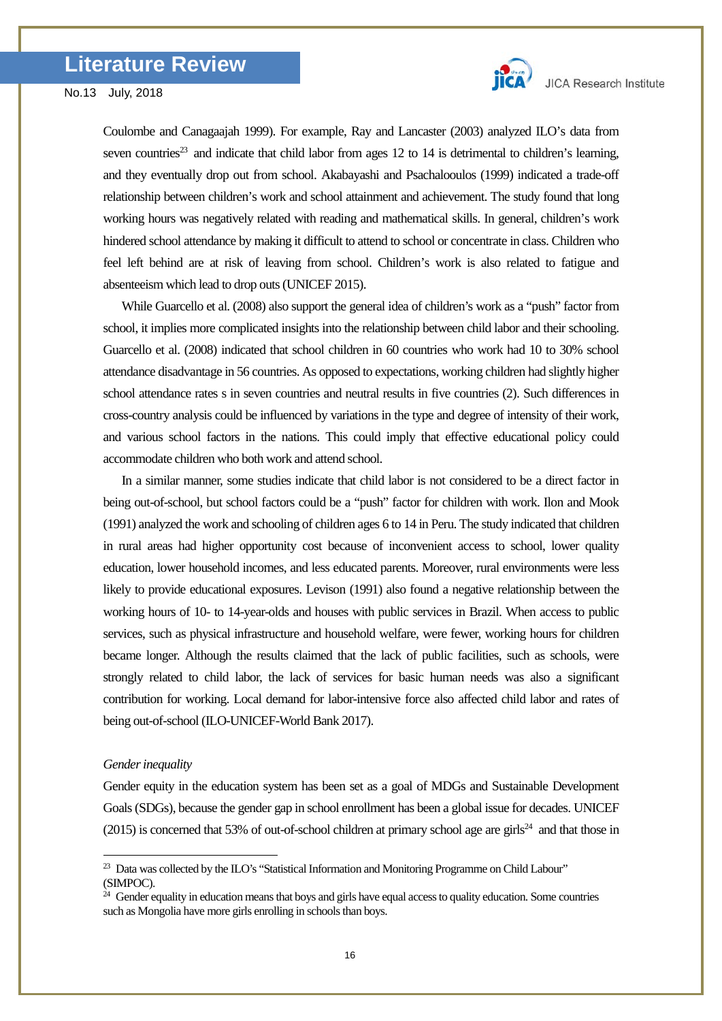

Coulombe and Canagaajah 1999). For example, Ray and Lancaster (2003) analyzed ILO's data from seven countries<sup>23</sup> and indicate that child labor from ages 12 to 14 is detrimental to children's learning, and they eventually drop out from school. Akabayashi and Psachalooulos (1999) indicated a trade-off relationship between children's work and school attainment and achievement. The study found that long working hours was negatively related with reading and mathematical skills. In general, children's work hindered school attendance by making it difficult to attend to school or concentrate in class. Children who feel left behind are at risk of leaving from school. Children's work is also related to fatigue and absenteeism which lead to drop outs (UNICEF 2015).

While Guarcello et al. (2008) also support the general idea of children's work as a "push" factor from school, it implies more complicated insights into the relationship between child labor and their schooling. Guarcello et al. (2008) indicated that school children in 60 countries who work had 10 to 30% school attendance disadvantage in 56 countries. As opposed to expectations, working children had slightly higher school attendance rates s in seven countries and neutral results in five countries (2). Such differences in cross-country analysis could be influenced by variations in the type and degree of intensity of their work, and various school factors in the nations. This could imply that effective educational policy could accommodate children who both work and attend school.

 In a similar manner, some studies indicate that child labor is not considered to be a direct factor in being out-of-school, but school factors could be a "push" factor for children with work. Ilon and Mook (1991) analyzed the work and schooling of children ages 6 to 14 in Peru. The study indicated that children in rural areas had higher opportunity cost because of inconvenient access to school, lower quality education, lower household incomes, and less educated parents. Moreover, rural environments were less likely to provide educational exposures. Levison (1991) also found a negative relationship between the working hours of 10- to 14-year-olds and houses with public services in Brazil. When access to public services, such as physical infrastructure and household welfare, were fewer, working hours for children became longer. Although the results claimed that the lack of public facilities, such as schools, were strongly related to child labor, the lack of services for basic human needs was also a significant contribution for working. Local demand for labor-intensive force also affected child labor and rates of being out-of-school (ILO-UNICEF-World Bank 2017).

#### *Gender inequality*

-

Gender equity in the education system has been set as a goal of MDGs and Sustainable Development Goals (SDGs), because the gender gap in school enrollment has been a global issue for decades. UNICEF (2015) is concerned that 53% of out-of-school children at primary school age are girls<sup>24</sup> and that those in

<span id="page-15-0"></span> $^{23}$  Data was collected by the ILO's "Statistical Information and Monitoring Programme on Child Labour" (SIMPOC).

<span id="page-15-1"></span> $24$  Gender equality in education means that boys and girls have equal access to quality education. Some countries such as Mongolia have more girls enrolling in schools than boys.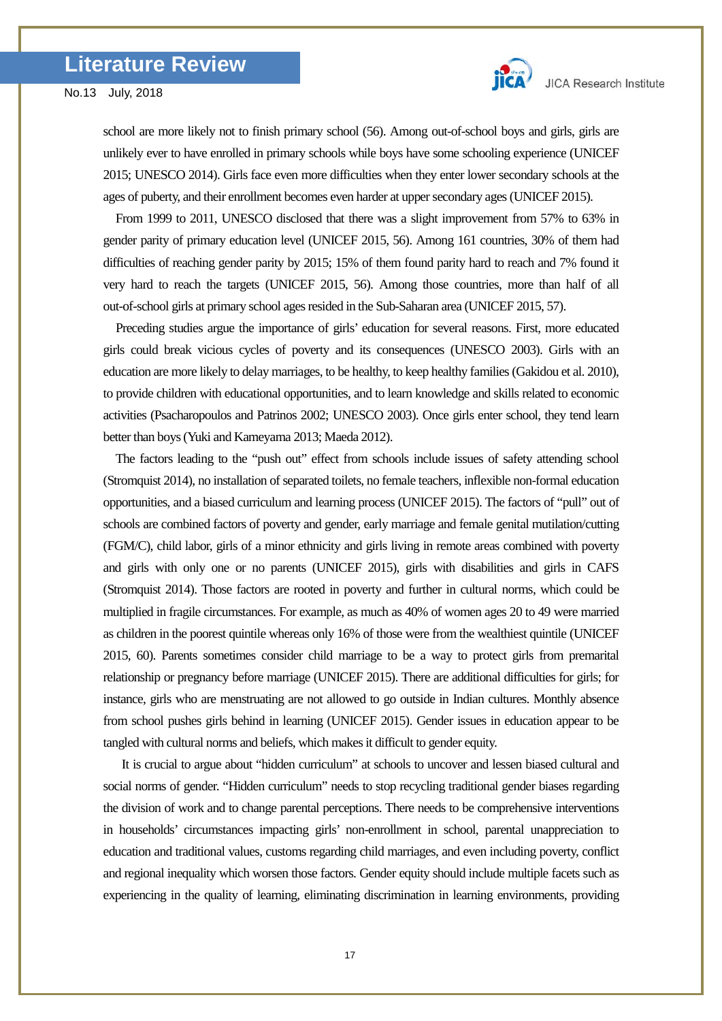

school are more likely not to finish primary school (56). Among out-of-school boys and girls, girls are unlikely ever to have enrolled in primary schools while boys have some schooling experience (UNICEF 2015; UNESCO 2014). Girls face even more difficulties when they enter lower secondary schools at the ages of puberty, and their enrollment becomes even harder at upper secondary ages (UNICEF 2015).

From 1999 to 2011, UNESCO disclosed that there was a slight improvement from 57% to 63% in gender parity of primary education level (UNICEF 2015, 56). Among 161 countries, 30% of them had difficulties of reaching gender parity by 2015; 15% of them found parity hard to reach and 7% found it very hard to reach the targets (UNICEF 2015, 56). Among those countries, more than half of all out-of-school girls at primary school ages resided in the Sub-Saharan area (UNICEF 2015, 57).

Preceding studies argue the importance of girls' education for several reasons. First, more educated girls could break vicious cycles of poverty and its consequences (UNESCO 2003). Girls with an education are more likely to delay marriages, to be healthy, to keep healthy families (Gakidou et al. 2010), to provide children with educational opportunities, and to learn knowledge and skills related to economic activities (Psacharopoulos and Patrinos 2002; UNESCO 2003). Once girls enter school, they tend learn better than boys (Yuki and Kameyama 2013; Maeda 2012).

The factors leading to the "push out" effect from schools include issues of safety attending school (Stromquist 2014), no installation of separated toilets, no female teachers, inflexible non-formal education opportunities, and a biased curriculum and learning process (UNICEF 2015). The factors of "pull" out of schools are combined factors of poverty and gender, early marriage and female genital mutilation/cutting (FGM/C), child labor, girls of a minor ethnicity and girls living in remote areas combined with poverty and girls with only one or no parents (UNICEF 2015), girls with disabilities and girls in CAFS (Stromquist 2014). Those factors are rooted in poverty and further in cultural norms, which could be multiplied in fragile circumstances. For example, as much as 40% of women ages 20 to 49 were married as children in the poorest quintile whereas only 16% of those were from the wealthiest quintile (UNICEF 2015, 60). Parents sometimes consider child marriage to be a way to protect girls from premarital relationship or pregnancy before marriage (UNICEF 2015). There are additional difficulties for girls; for instance, girls who are menstruating are not allowed to go outside in Indian cultures. Monthly absence from school pushes girls behind in learning (UNICEF 2015). Gender issues in education appear to be tangled with cultural norms and beliefs, which makes it difficult to gender equity.

It is crucial to argue about "hidden curriculum" at schools to uncover and lessen biased cultural and social norms of gender. "Hidden curriculum" needs to stop recycling traditional gender biases regarding the division of work and to change parental perceptions. There needs to be comprehensive interventions in households' circumstances impacting girls' non-enrollment in school, parental unappreciation to education and traditional values, customs regarding child marriages, and even including poverty, conflict and regional inequality which worsen those factors. Gender equity should include multiple facets such as experiencing in the quality of learning, eliminating discrimination in learning environments, providing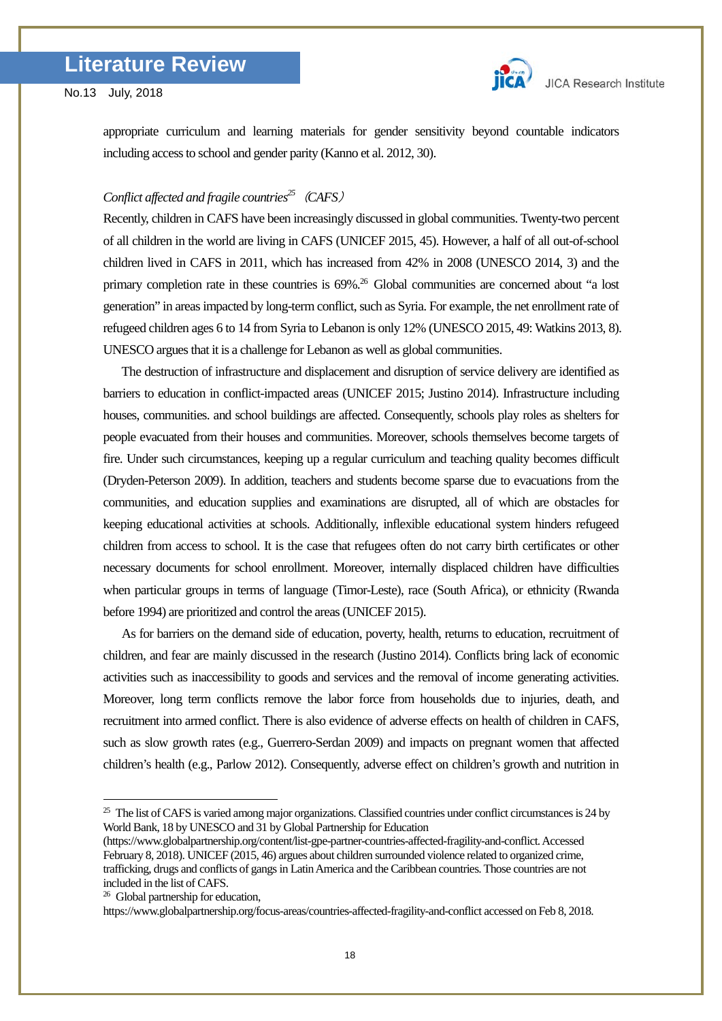appropriate curriculum and learning materials for gender sensitivity beyond countable indicators including access to school and gender parity (Kanno et al. 2012, 30).

# *Conflict affected and fragile countrie[s25](#page-17-0)*(*CAFS*)

Recently, children in CAFS have been increasingly discussed in global communities. Twenty-two percent of all children in the world are living in CAFS (UNICEF 2015, 45). However, a half of all out-of-school children lived in CAFS in 2011, which has increased from 42% in 2008 (UNESCO 2014, 3) and the primary completion rate in these countries is 69%.<sup>[26](#page-17-1)</sup> Global communities are concerned about "a lost generation" in areas impacted by long-term conflict, such as Syria. For example, the net enrollment rate of refugeed children ages 6 to 14 from Syria to Lebanon is only 12% (UNESCO 2015, 49: Watkins 2013, 8). UNESCO argues that it is a challenge for Lebanon as well as global communities.

 The destruction of infrastructure and displacement and disruption of service delivery are identified as barriers to education in conflict-impacted areas (UNICEF 2015; Justino 2014). Infrastructure including houses, communities. and school buildings are affected. Consequently, schools play roles as shelters for people evacuated from their houses and communities. Moreover, schools themselves become targets of fire. Under such circumstances, keeping up a regular curriculum and teaching quality becomes difficult (Dryden-Peterson 2009). In addition, teachers and students become sparse due to evacuations from the communities, and education supplies and examinations are disrupted, all of which are obstacles for keeping educational activities at schools. Additionally, inflexible educational system hinders refugeed children from access to school. It is the case that refugees often do not carry birth certificates or other necessary documents for school enrollment. Moreover, internally displaced children have difficulties when particular groups in terms of language (Timor-Leste), race (South Africa), or ethnicity (Rwanda before 1994) are prioritized and control the areas (UNICEF 2015).

 As for barriers on the demand side of education, poverty, health, returns to education, recruitment of children, and fear are mainly discussed in the research (Justino 2014). Conflicts bring lack of economic activities such as inaccessibility to goods and services and the removal of income generating activities. Moreover, long term conflicts remove the labor force from households due to injuries, death, and recruitment into armed conflict. There is also evidence of adverse effects on health of children in CAFS, such as slow growth rates (e.g., Guerrero-Serdan 2009) and impacts on pregnant women that affected children's health (e.g., Parlow 2012). Consequently, adverse effect on children's growth and nutrition in

-

<span id="page-17-0"></span> $25$  The list of CAFS is varied among major organizations. Classified countries under conflict circumstances is 24 by World Bank, 18 by UNESCO and 31 by Global Partnership for Education

<sup>(</sup>https://www.globalpartnership.org/content/list-gpe-partner-countries-affected-fragility-and-conflict. Accessed February 8, 2018). UNICEF (2015, 46) argues about children surrounded violence related to organized crime, trafficking, drugs and conflicts of gangs in Latin America and the Caribbean countries. Those countries are not included in the list of CAFS. 26 Global partnership for education,

<span id="page-17-1"></span>

https://www.globalpartnership.org/focus-areas/countries-affected-fragility-and-conflict accessed on Feb 8, 2018.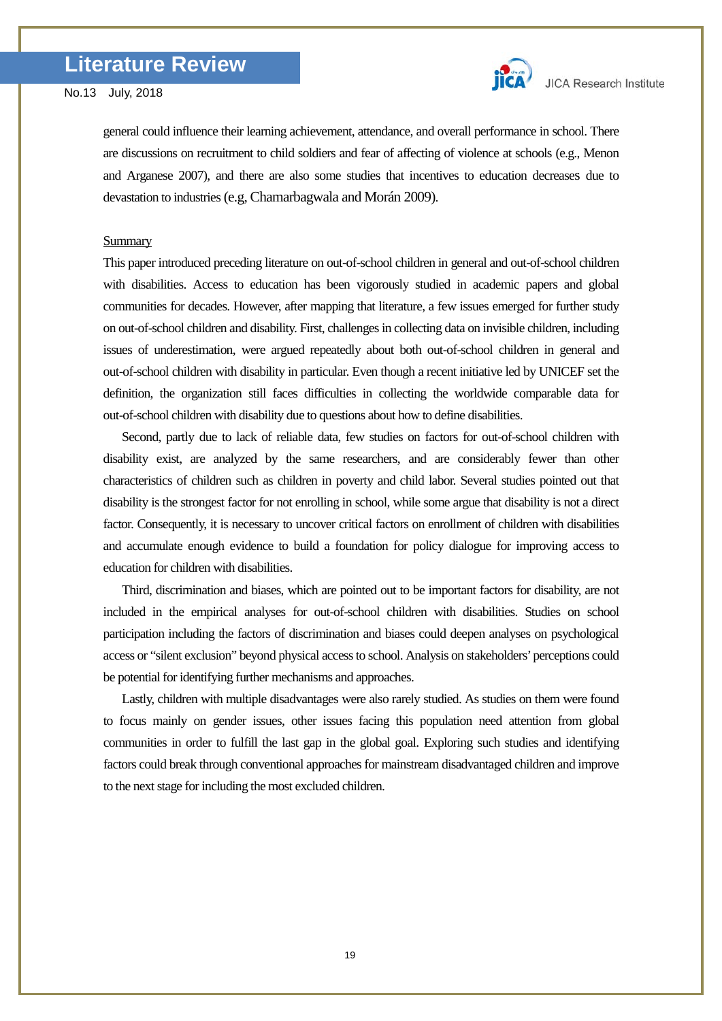general could influence their learning achievement, attendance, and overall performance in school. There are discussions on recruitment to child soldiers and fear of affecting of violence at schools (e.g., Menon and Arganese 2007), and there are also some studies that incentives to education decreases due to devastation to industries (e.g, Chamarbagwala and Morán 2009).

### **Summary**

This paper introduced preceding literature on out-of-school children in general and out-of-school children with disabilities. Access to education has been vigorously studied in academic papers and global communities for decades. However, after mapping that literature, a few issues emerged for further study on out-of-school children and disability. First, challenges in collecting data on invisible children, including issues of underestimation, were argued repeatedly about both out-of-school children in general and out-of-school children with disability in particular. Even though a recent initiative led by UNICEF set the definition, the organization still faces difficulties in collecting the worldwide comparable data for out-of-school children with disability due to questions about how to define disabilities.

Second, partly due to lack of reliable data, few studies on factors for out-of-school children with disability exist, are analyzed by the same researchers, and are considerably fewer than other characteristics of children such as children in poverty and child labor. Several studies pointed out that disability is the strongest factor for not enrolling in school, while some argue that disability is not a direct factor. Consequently, it is necessary to uncover critical factors on enrollment of children with disabilities and accumulate enough evidence to build a foundation for policy dialogue for improving access to education for children with disabilities.

Third, discrimination and biases, which are pointed out to be important factors for disability, are not included in the empirical analyses for out-of-school children with disabilities. Studies on school participation including the factors of discrimination and biases could deepen analyses on psychological access or "silent exclusion" beyond physical access to school. Analysis on stakeholders' perceptions could be potential for identifying further mechanisms and approaches.

Lastly, children with multiple disadvantages were also rarely studied. As studies on them were found to focus mainly on gender issues, other issues facing this population need attention from global communities in order to fulfill the last gap in the global goal. Exploring such studies and identifying factors could break through conventional approaches for mainstream disadvantaged children and improve to the next stage for including the most excluded children.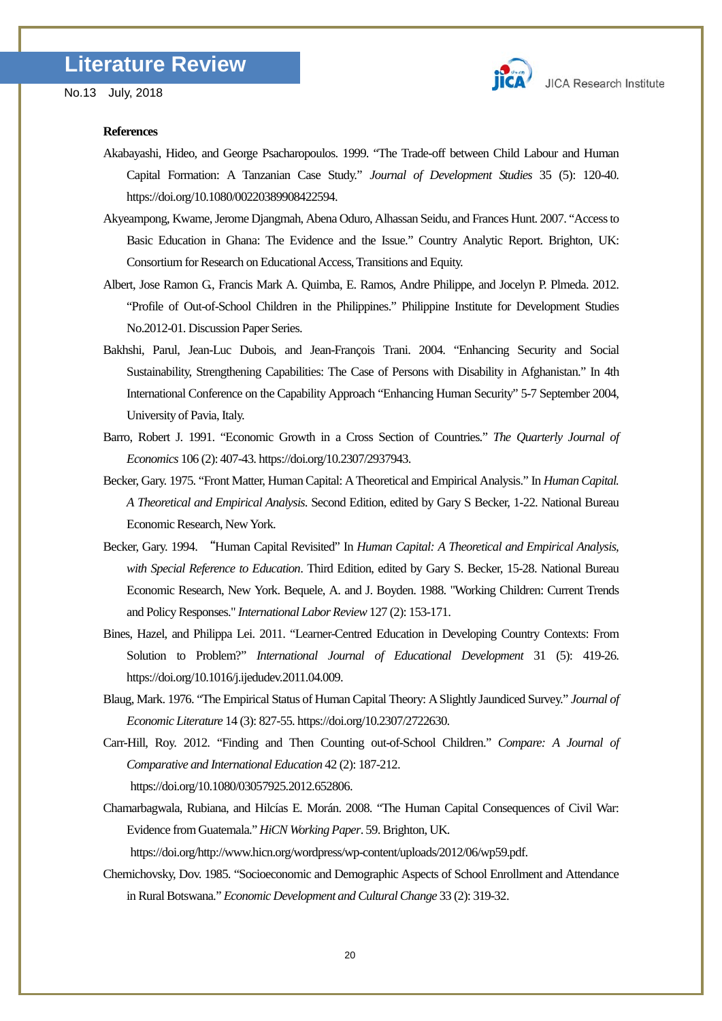

#### **References**

- Akabayashi, Hideo, and George Psacharopoulos. 1999. "The Trade-off between Child Labour and Human Capital Formation: A Tanzanian Case Study." *Journal of Development Studies* 35 (5): 120-40. https://doi.org/10.1080/00220389908422594.
- Akyeampong, Kwame, Jerome Djangmah, Abena Oduro, Alhassan Seidu, and Frances Hunt. 2007. "Access to Basic Education in Ghana: The Evidence and the Issue." Country Analytic Report. Brighton, UK: Consortium for Research on Educational Access, Transitions and Equity.
- Albert, Jose Ramon G., Francis Mark A. Quimba, E. Ramos, Andre Philippe, and Jocelyn P. Plmeda. 2012. "Profile of Out-of-School Children in the Philippines." Philippine Institute for Development Studies No.2012-01. Discussion Paper Series.
- Bakhshi, Parul, Jean-Luc Dubois, and Jean-François Trani. 2004. "Enhancing Security and Social Sustainability, Strengthening Capabilities: The Case of Persons with Disability in Afghanistan." In 4th International Conference on the Capability Approach "Enhancing Human Security" 5-7 September 2004, University of Pavia, Italy.
- Barro, Robert J. 1991. "Economic Growth in a Cross Section of Countries." *The Quarterly Journal of Economics* 106 (2): 407-43. https://doi.org/10.2307/2937943.
- Becker, Gary. 1975. "Front Matter, Human Capital: A Theoretical and Empirical Analysis." In *Human Capital. A Theoretical and Empirical Analysis*. Second Edition, edited by Gary S Becker, 1-22. National Bureau Economic Research, New York.
- Becker, Gary. 1994. "Human Capital Revisited" In *Human Capital: A Theoretical and Empirical Analysis, with Special Reference to Education*. Third Edition, edited by Gary S. Becker, 15-28. National Bureau Economic Research, New York. Bequele, A. and J. Boyden. 1988. "Working Children: Current Trends and Policy Responses." *International Labor Review*127 (2): 153-171.
- Bines, Hazel, and Philippa Lei. 2011. "Learner-Centred Education in Developing Country Contexts: From Solution to Problem?" *International Journal of Educational Development* 31 (5): 419-26. https://doi.org/10.1016/j.ijedudev.2011.04.009.
- Blaug, Mark. 1976. "The Empirical Status of Human Capital Theory: A Slightly Jaundiced Survey." *Journal of Economic Literature* 14 (3): 827-55. https://doi.org/10.2307/2722630.
- Carr-Hill, Roy. 2012. "Finding and Then Counting out-of-School Children." *Compare: A Journal of Comparative and International Education* 42 (2): 187-212.

https://doi.org/10.1080/03057925.2012.652806.

Chamarbagwala, Rubiana, and Hilcías E. Morán. 2008. "The Human Capital Consequences of Civil War: Evidence from Guatemala." *HiCN Working Paper*. 59. Brighton, UK.

https://doi.org/http://www.hicn.org/wordpress/wp-content/uploads/2012/06/wp59.pdf.

Chernichovsky, Dov. 1985. "Socioeconomic and Demographic Aspects of School Enrollment and Attendance in Rural Botswana." *Economic Development and Cultural Change* 33 (2): 319-32.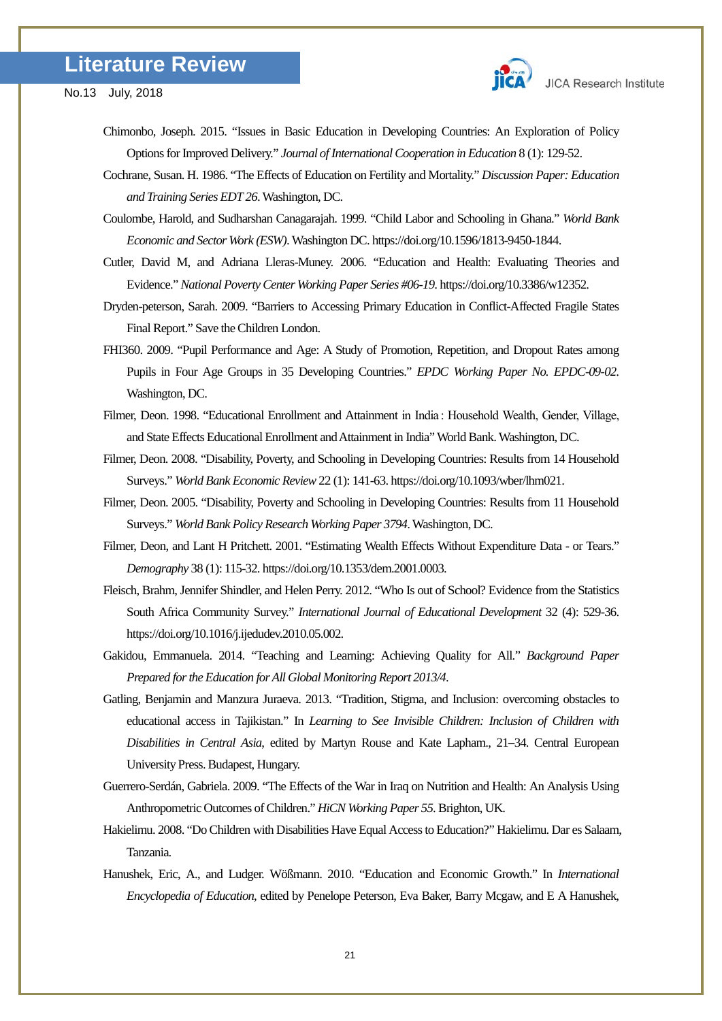



- Chimonbo, Joseph. 2015. "Issues in Basic Education in Developing Countries: An Exploration of Policy Options for Improved Delivery." *Journal of International Cooperation in Education* 8 (1): 129-52.
- Cochrane, Susan. H. 1986. "The Effects of Education on Fertility and Mortality." *Discussion Paper: Education and Training Series EDT 26*. Washington, DC.
- Coulombe, Harold, and Sudharshan Canagarajah. 1999. "Child Labor and Schooling in Ghana." *World Bank Economic and Sector Work (ESW)*. Washington DC. https://doi.org/10.1596/1813-9450-1844.
- Cutler, David M, and Adriana Lleras-Muney. 2006. "Education and Health: Evaluating Theories and Evidence." *National Poverty Center Working Paper Series #06-19*. https://doi.org/10.3386/w12352.
- Dryden-peterson, Sarah. 2009. "Barriers to Accessing Primary Education in Conflict-Affected Fragile States Final Report." Save the Children London.
- FHI360. 2009. "Pupil Performance and Age: A Study of Promotion, Repetition, and Dropout Rates among Pupils in Four Age Groups in 35 Developing Countries." *EPDC Working Paper No. EPDC-09-02*. Washington, DC.
- Filmer, Deon. 1998. "Educational Enrollment and Attainment in India : Household Wealth, Gender, Village, and State Effects Educational Enrollment and Attainment in India" World Bank. Washington, DC.
- Filmer, Deon. 2008. "Disability, Poverty, and Schooling in Developing Countries: Results from 14 Household Surveys." *World Bank Economic Review* 22 (1): 141-63. https://doi.org/10.1093/wber/lhm021.
- Filmer, Deon. 2005. "Disability, Poverty and Schooling in Developing Countries: Results from 11 Household Surveys." *World Bank Policy Research Working Paper 3794*. Washington, DC.
- Filmer, Deon, and Lant H Pritchett. 2001. "Estimating Wealth Effects Without Expenditure Data or Tears." *Demography* 38 (1): 115-32. https://doi.org/10.1353/dem.2001.0003.
- Fleisch, Brahm, Jennifer Shindler, and Helen Perry. 2012. "Who Is out of School? Evidence from the Statistics South Africa Community Survey." *International Journal of Educational Development* 32 (4): 529-36. https://doi.org/10.1016/j.ijedudev.2010.05.002.
- Gakidou, Emmanuela. 2014. "Teaching and Learning: Achieving Quality for All." *Background Paper Prepared for the Education for All Global Monitoring Report 2013/4*.
- Gatling, Benjamin and Manzura Juraeva. 2013. "Tradition, Stigma, and Inclusion: overcoming obstacles to educational access in Tajikistan." In *Learning to See Invisible Children: Inclusion of Children with Disabilities in Central Asia*, edited by Martyn Rouse and Kate Lapham., 21–34. Central European University Press. Budapest, Hungary.
- Guerrero-Serdán, Gabriela. 2009. "The Effects of the War in Iraq on Nutrition and Health: An Analysis Using Anthropometric Outcomes of Children." *HiCN Working Paper 55*. Brighton, UK.
- Hakielimu. 2008. "Do Children with Disabilities Have Equal Access to Education?" Hakielimu. Dar es Salaam, Tanzania.
- Hanushek, Eric, A., and Ludger. Wößmann. 2010. "Education and Economic Growth." In *International Encyclopedia of Education*, edited by Penelope Peterson, Eva Baker, Barry Mcgaw, and E A Hanushek,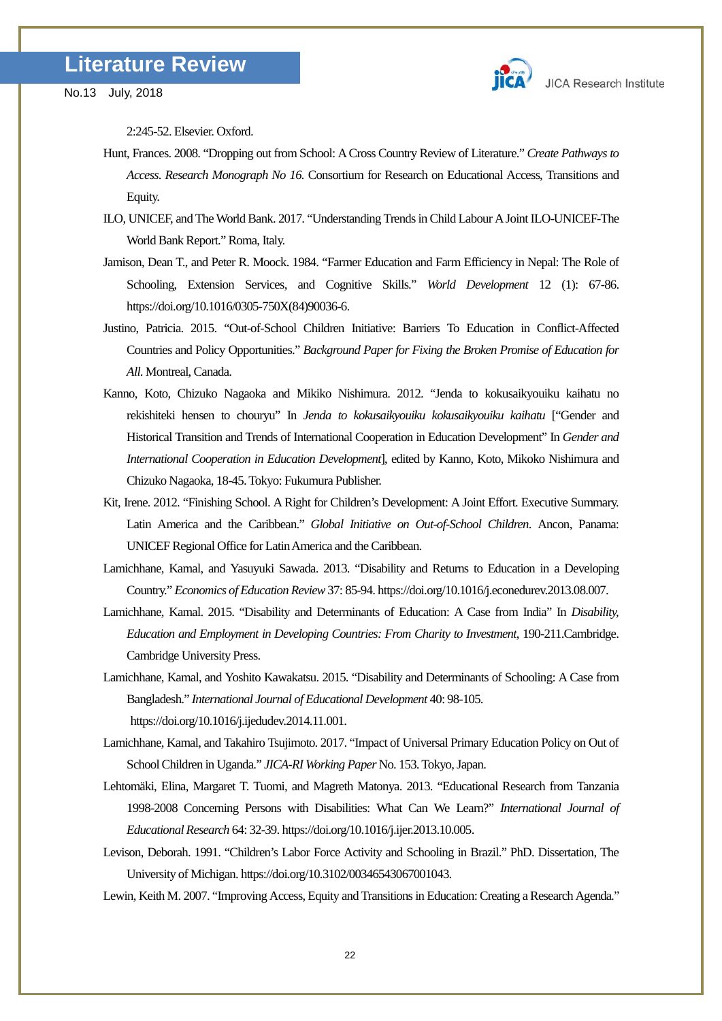

2:245-52. Elsevier. Oxford.

- Hunt, Frances. 2008. "Dropping out from School: A Cross Country Review of Literature." *Create Pathways to Access*. *Research Monograph No 16.* Consortium for Research on Educational Access, Transitions and Equity.
- ILO, UNICEF, and The World Bank. 2017. "Understanding Trends in Child Labour A Joint ILO-UNICEF-The World Bank Report." Roma, Italy.
- Jamison, Dean T., and Peter R. Moock. 1984. "Farmer Education and Farm Efficiency in Nepal: The Role of Schooling, Extension Services, and Cognitive Skills." *World Development* 12 (1): 67-86. https://doi.org/10.1016/0305-750X(84)90036-6.
- Justino, Patricia. 2015. "Out-of-School Children Initiative: Barriers To Education in Conflict-Affected Countries and Policy Opportunities." *Background Paper for Fixing the Broken Promise of Education for All*. Montreal, Canada.
- Kanno, Koto, Chizuko Nagaoka and Mikiko Nishimura. 2012. "Jenda to kokusaikyouiku kaihatu no rekishiteki hensen to chouryu" In *Jenda to kokusaikyouiku kokusaikyouiku kaihatu* ["Gender and Historical Transition and Trends of International Cooperation in Education Development" In *Gender and International Cooperation in Education Development*], edited by Kanno, Koto, Mikoko Nishimura and Chizuko Nagaoka, 18-45. Tokyo: Fukumura Publisher.
- Kit, Irene. 2012. "Finishing School. A Right for Children's Development: A Joint Effort. Executive Summary. Latin America and the Caribbean." *Global Initiative on Out-of-School Children*. Ancon, Panama: UNICEF Regional Office for Latin America and the Caribbean.
- Lamichhane, Kamal, and Yasuyuki Sawada. 2013. "Disability and Returns to Education in a Developing Country." *Economics of Education Review*37: 85-94. https://doi.org/10.1016/j.econedurev.2013.08.007.
- Lamichhane, Kamal. 2015. "Disability and Determinants of Education: A Case from India" In *Disability, Education and Employment in Developing Countries: From Charity to Investment*, 190-211.Cambridge. Cambridge University Press.
- Lamichhane, Kamal, and Yoshito Kawakatsu. 2015. "Disability and Determinants of Schooling: A Case from Bangladesh." *International Journal of Educational Development* 40: 98-105. https://doi.org/10.1016/j.ijedudev.2014.11.001.
- Lamichhane, Kamal, and Takahiro Tsujimoto. 2017. "Impact of Universal Primary Education Policy on Out of School Children in Uganda." *JICA-RI Working Paper* No. 153. Tokyo, Japan.
- Lehtomäki, Elina, Margaret T. Tuomi, and Magreth Matonya. 2013. "Educational Research from Tanzania 1998-2008 Concerning Persons with Disabilities: What Can We Learn?" *International Journal of Educational Research* 64: 32-39. https://doi.org/10.1016/j.ijer.2013.10.005.
- Levison, Deborah. 1991. "Children's Labor Force Activity and Schooling in Brazil." PhD. Dissertation, The University of Michigan. https://doi.org/10.3102/00346543067001043.
- Lewin, Keith M. 2007. "Improving Access, Equity and Transitions in Education: Creating a Research Agenda."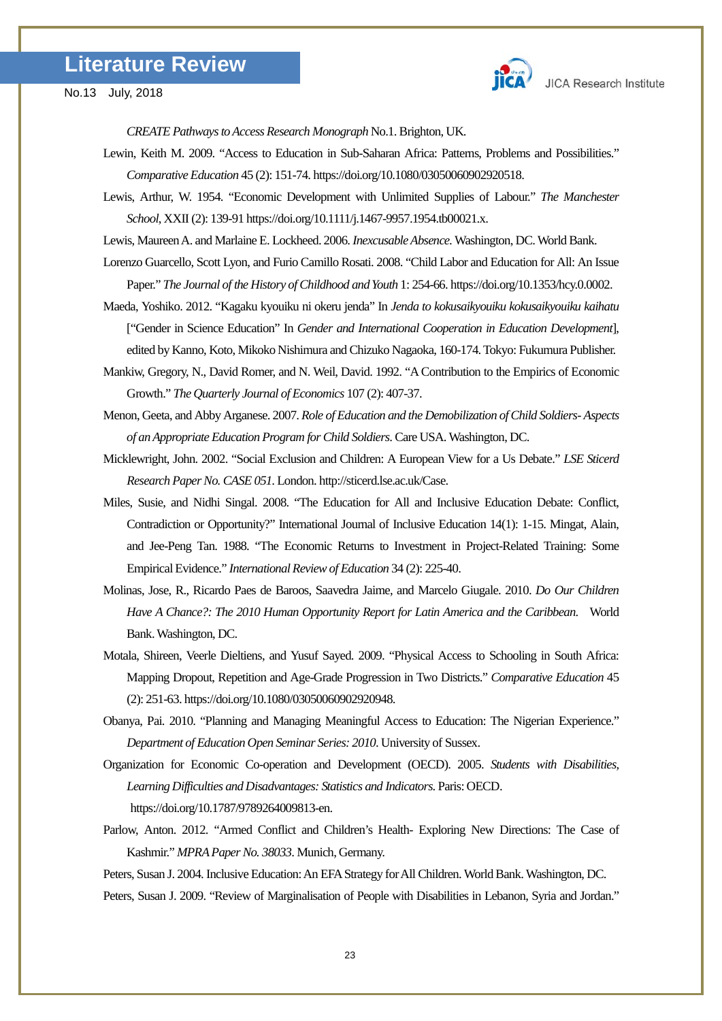

*CREATE Pathways to Access Research Monograph* No.1. Brighton, UK.

- Lewin, Keith M. 2009. "Access to Education in Sub-Saharan Africa: Patterns, Problems and Possibilities." *Comparative Education* 45 (2): 151-74. https://doi.org/10.1080/03050060902920518.
- Lewis, Arthur, W. 1954. "Economic Development with Unlimited Supplies of Labour." *The Manchester School*, XXII (2): 139-91 https://doi.org/10.1111/j.1467-9957.1954.tb00021.x.

Lewis, Maureen A. and Marlaine E. Lockheed. 2006. *Inexcusable Absence.*Washington, DC. World Bank.

- Lorenzo Guarcello, Scott Lyon, and Furio Camillo Rosati. 2008. "Child Labor and Education for All: An Issue Paper." *The Journal of the History of Childhood and Youth* 1: 254-66. https://doi.org/10.1353/hcy.0.0002.
- Maeda, Yoshiko. 2012. "Kagaku kyouiku ni okeru jenda" In *Jenda to kokusaikyouiku kokusaikyouiku kaihatu* ["Gender in Science Education" In *Gender and International Cooperation in Education Development*], edited by Kanno, Koto, Mikoko Nishimura and Chizuko Nagaoka, 160-174. Tokyo: Fukumura Publisher.
- Mankiw, Gregory, N., David Romer, and N. Weil, David. 1992. "A Contribution to the Empirics of Economic Growth." *The Quarterly Journal of Economics* 107 (2): 407-37.
- Menon, Geeta, and Abby Arganese. 2007. *Role of Education and the Demobilization of Child Soldiers- Aspects of an Appropriate Education Program for Child Soldiers*. Care USA. Washington, DC.
- Micklewright, John. 2002. "Social Exclusion and Children: A European View for a Us Debate." *LSE Sticerd Research Paper No. CASE 051*. London. http://sticerd.lse.ac.uk/Case.
- Miles, Susie, and Nidhi Singal. 2008. "The Education for All and Inclusive Education Debate: Conflict, Contradiction or Opportunity?" International Journal of Inclusive Education 14(1): 1-15. Mingat, Alain, and Jee-Peng Tan. 1988. "The Economic Returns to Investment in Project-Related Training: Some Empirical Evidence." *International Review of Education* 34 (2): 225-40.
- Molinas, Jose, R., Ricardo Paes de Baroos, Saavedra Jaime, and Marcelo Giugale. 2010. *Do Our Children Have A Chance?: The 2010 Human Opportunity Report for Latin America and the Caribbean*. World Bank. Washington, DC.
- Motala, Shireen, Veerle Dieltiens, and Yusuf Sayed. 2009. "Physical Access to Schooling in South Africa: Mapping Dropout, Repetition and Age-Grade Progression in Two Districts." *Comparative Education* 45 (2): 251-63. https://doi.org/10.1080/03050060902920948.
- Obanya, Pai. 2010. "Planning and Managing Meaningful Access to Education: The Nigerian Experience." *Department of Education Open Seminar Series: 2010*. University of Sussex.
- Organization for Economic Co-operation and Development (OECD). 2005. *Students with Disabilities, Learning Difficulties and Disadvantages: Statistics and Indicators*. Paris: OECD. https://doi.org/10.1787/9789264009813-en.
- Parlow, Anton. 2012. "Armed Conflict and Children's Health- Exploring New Directions: The Case of Kashmir." *MPRA Paper No. 38033*. Munich, Germany.

Peters, Susan J. 2004. Inclusive Education: An EFA Strategy for All Children. World Bank. Washington, DC. Peters, Susan J. 2009. "Review of Marginalisation of People with Disabilities in Lebanon, Syria and Jordan."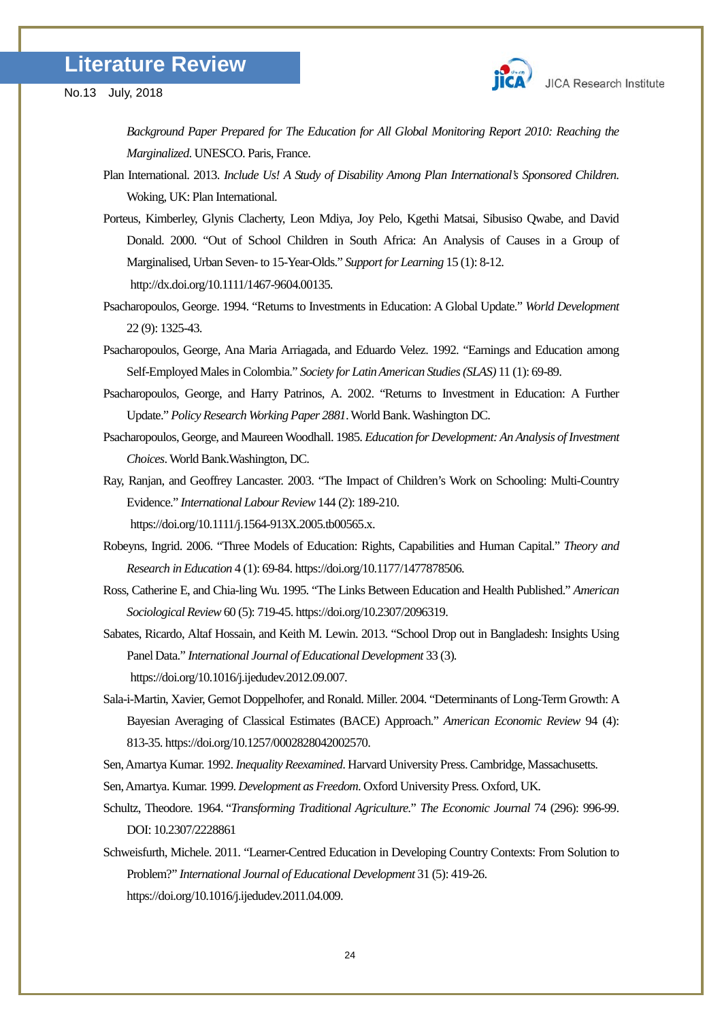

*Background Paper Prepared for The Education for All Global Monitoring Report 2010: Reaching the Marginalized*. UNESCO. Paris, France.

- Plan International. 2013. *Include Us! A Study of Disability Among Plan International's Sponsored Children*. Woking, UK: Plan International.
- Porteus, Kimberley, Glynis Clacherty, Leon Mdiya, Joy Pelo, Kgethi Matsai, Sibusiso Qwabe, and David Donald. 2000. "Out of School Children in South Africa: An Analysis of Causes in a Group of Marginalised, Urban Seven- to 15-Year-Olds." *Support for Learning* 15 (1): 8-12. http://dx.doi.org/10.1111/1467-9604.00135.
- Psacharopoulos, George. 1994. "Returns to Investments in Education: A Global Update." *World Development* 22 (9): 1325-43.
- Psacharopoulos, George, Ana Maria Arriagada, and Eduardo Velez. 1992. "Earnings and Education among Self-Employed Males in Colombia." *Society for Latin American Studies (SLAS)* 11 (1): 69-89.
- Psacharopoulos, George, and Harry Patrinos, A. 2002. "Returns to Investment in Education: A Further Update." *Policy Research Working Paper 2881*. World Bank. Washington DC.
- Psacharopoulos, George, and Maureen Woodhall. 1985. *Education for Development: An Analysis of Investment Choices*. World Bank.Washington, DC.
- Ray, Ranjan, and Geoffrey Lancaster. 2003. "The Impact of Children's Work on Schooling: Multi-Country Evidence." *International Labour Review*144 (2): 189-210. https://doi.org/10.1111/j.1564-913X.2005.tb00565.x.
- Robeyns, Ingrid. 2006. "Three Models of Education: Rights, Capabilities and Human Capital." *Theory and Research in Education* 4 (1): 69-84. https://doi.org/10.1177/1477878506.
- Ross, Catherine E, and Chia-ling Wu. 1995. "The Links Between Education and Health Published." *American Sociological Review* 60 (5): 719-45. https://doi.org/10.2307/2096319.
- Sabates, Ricardo, Altaf Hossain, and Keith M. Lewin. 2013. "School Drop out in Bangladesh: Insights Using Panel Data." *International Journal of Educational Development* 33 (3). https://doi.org/10.1016/j.ijedudev.2012.09.007.
- Sala-i-Martin, Xavier, Gernot Doppelhofer, and Ronald. Miller. 2004. "Determinants of Long-Term Growth: A Bayesian Averaging of Classical Estimates (BACE) Approach." *American Economic Review* 94 (4): 813-35. https://doi.org/10.1257/0002828042002570.
- Sen, Amartya Kumar. 1992. *Inequality Reexamined*. Harvard University Press.Cambridge, Massachusetts.
- Sen, Amartya. Kumar. 1999. *Development as Freedom*. Oxford University Press. Oxford, UK.
- Schultz, Theodore. 1964. "*Transforming Traditional Agriculture.*" *The Economic Journal* 74 (296): 996-99. DOI: 10.2307/2228861
- Schweisfurth, Michele. 2011. "Learner-Centred Education in Developing Country Contexts: From Solution to Problem?" *International Journal of Educational Development* 31 (5): 419-26. https://doi.org/10.1016/j.ijedudev.2011.04.009.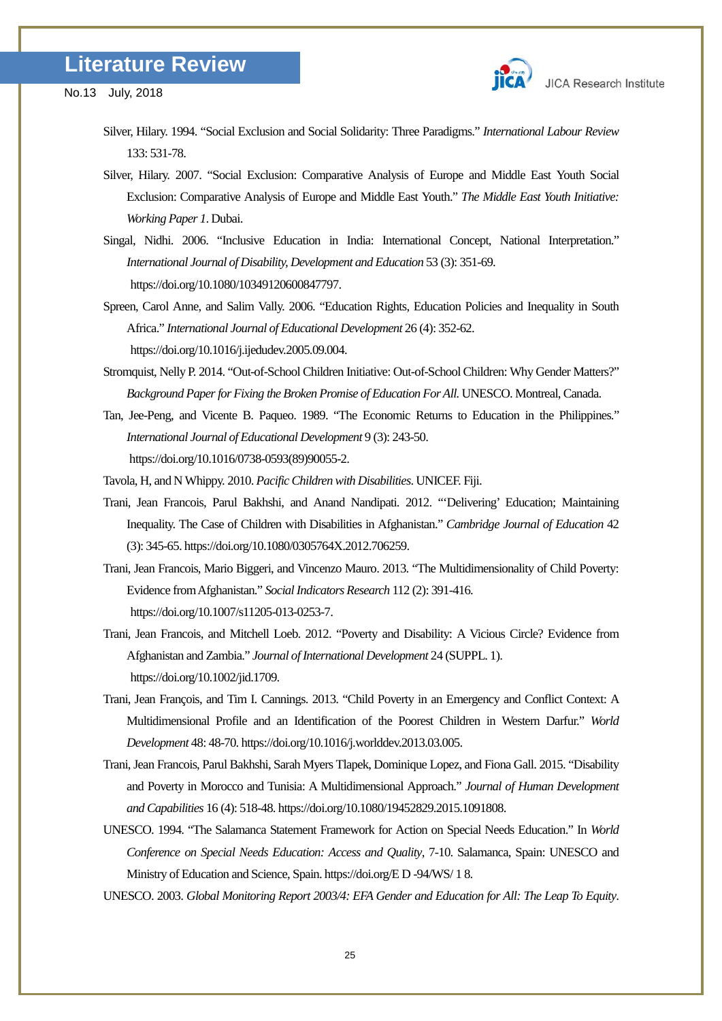

- Silver, Hilary. 1994. "Social Exclusion and Social Solidarity: Three Paradigms." *International Labour Review* 133: 531-78.
- Silver, Hilary. 2007. "Social Exclusion: Comparative Analysis of Europe and Middle East Youth Social Exclusion: Comparative Analysis of Europe and Middle East Youth." *The Middle East Youth Initiative: Working Paper 1*. Dubai.
- Singal, Nidhi. 2006. "Inclusive Education in India: International Concept, National Interpretation." *International Journal of Disability, Development and Education* 53 (3): 351-69. https://doi.org/10.1080/10349120600847797.
- Spreen, Carol Anne, and Salim Vally. 2006. "Education Rights, Education Policies and Inequality in South Africa." *International Journal of Educational Development* 26 (4): 352-62. https://doi.org/10.1016/j.ijedudev.2005.09.004.
- Stromquist, Nelly P. 2014. "Out-of-School Children Initiative: Out-of-School Children: Why Gender Matters?" *Background Paper for Fixing the Broken Promise of Education For All.* UNESCO. Montreal, Canada.
- Tan, Jee-Peng, and Vicente B. Paqueo. 1989. "The Economic Returns to Education in the Philippines." *International Journal of Educational Development* 9 (3): 243-50. https://doi.org/10.1016/0738-0593(89)90055-2.
- Tavola, H, and N Whippy. 2010. *Pacific Children with Disabilities*. UNICEF. Fiji.
- Trani, Jean Francois, Parul Bakhshi, and Anand Nandipati. 2012. "'Delivering' Education; Maintaining Inequality. The Case of Children with Disabilities in Afghanistan." *Cambridge Journal of Education* 42 (3): 345-65. https://doi.org/10.1080/0305764X.2012.706259.
- Trani, Jean Francois, Mario Biggeri, and Vincenzo Mauro. 2013. "The Multidimensionality of Child Poverty: Evidence from Afghanistan." *Social Indicators Research* 112 (2): 391-416. https://doi.org/10.1007/s11205-013-0253-7.
- Trani, Jean Francois, and Mitchell Loeb. 2012. "Poverty and Disability: A Vicious Circle? Evidence from Afghanistan and Zambia." *Journal of International Development* 24 (SUPPL. 1). https://doi.org/10.1002/jid.1709.
- Trani, Jean François, and Tim I. Cannings. 2013. "Child Poverty in an Emergency and Conflict Context: A Multidimensional Profile and an Identification of the Poorest Children in Western Darfur." *World Development* 48: 48-70. https://doi.org/10.1016/j.worlddev.2013.03.005.
- Trani, Jean Francois, Parul Bakhshi, Sarah Myers Tlapek, Dominique Lopez, and Fiona Gall. 2015. "Disability and Poverty in Morocco and Tunisia: A Multidimensional Approach." *Journal of Human Development and Capabilities* 16 (4): 518-48. https://doi.org/10.1080/19452829.2015.1091808.
- UNESCO. 1994. "The Salamanca Statement Framework for Action on Special Needs Education." In *World Conference on Special Needs Education: Access and Quality*, 7-10. Salamanca, Spain: UNESCO and Ministry of Education and Science, Spain. https://doi.org/E D -94/WS/ 1 8.
- UNESCO. 2003. *Global Monitoring Report 2003/4: EFA Gender and Education for All: The Leap To Equity*.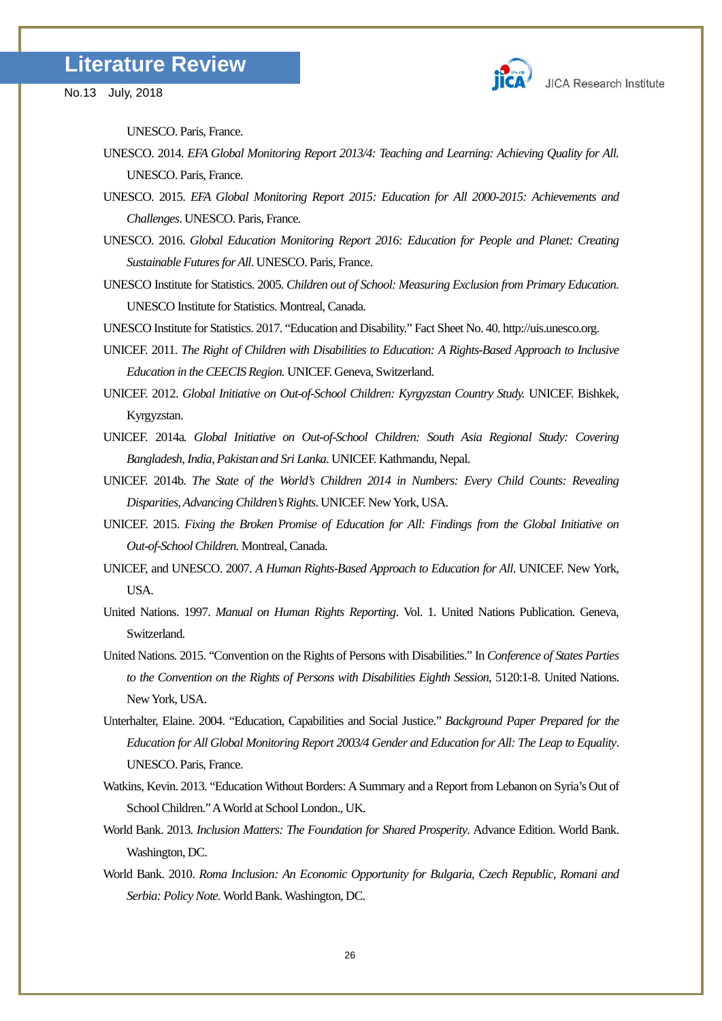UNESCO. Paris, France.

- UNESCO. 2014. *EFA Global Monitoring Report 2013/4: Teaching and Learning: Achieving Quality for All.*  UNESCO. Paris, France.
- UNESCO. 2015. *EFA Global Monitoring Report 2015: Education for All 2000-2015: Achievements and Challenges*. UNESCO. Paris, France.
- UNESCO. 2016. *Global Education Monitoring Report 2016: Education for People and Planet: Creating Sustainable Futures for All*. UNESCO. Paris, France.
- UNESCO Institute for Statistics. 2005. *Children out of School: Measuring Exclusion from Primary Education*. UNESCO Institute for Statistics. Montreal, Canada.

UNESCO Institute for Statistics. 2017. "Education and Disability." Fact Sheet No. 40. http://uis.unesco.org.

- UNICEF. 2011. *The Right of Children with Disabilities to Education: A Rights-Based Approach to Inclusive Education in the CEECIS Region.* UNICEF. Geneva, Switzerland.
- UNICEF. 2012. *Global Initiative on Out-of-School Children: Kyrgyzstan Country Study.* UNICEF. Bishkek, Kyrgyzstan.
- UNICEF. 2014a*. Global Initiative on Out-of-School Children: South Asia Regional Study: Covering Bangladesh, India, Pakistan and Sri Lanka.* UNICEF. Kathmandu, Nepal.
- UNICEF. 2014b. *The State of the World's Children 2014 in Numbers: Every Child Counts: Revealing Disparities, Advancing Children's Rights*. UNICEF. New York, USA.
- UNICEF. 2015. *Fixing the Broken Promise of Education for All: Findings from the Global Initiative on Out-of-School Children.* Montreal, Canada.
- UNICEF, and UNESCO. 2007. *A Human Rights-Based Approach to Education for All*. UNICEF. New York, USA.
- United Nations. 1997. *Manual on Human Rights Reporting*. Vol. 1. United Nations Publication. Geneva, Switzerland.
- United Nations. 2015. "Convention on the Rights of Persons with Disabilities." In *Conference of States Parties to the Convention on the Rights of Persons with Disabilities Eighth Session*, 5120:1-8. United Nations. New York, USA.
- Unterhalter, Elaine. 2004. "Education, Capabilities and Social Justice." *Background Paper Prepared for the Education for All Global Monitoring Report 2003/4 Gender and Education for All: The Leap to Equality*. UNESCO. Paris, France.
- Watkins, Kevin. 2013. "Education Without Borders: A Summary and a Report from Lebanon on Syria's Out of School Children."A World at School London., UK.
- World Bank. 2013. *Inclusion Matters: The Foundation for Shared Prosperity*. Advance Edition. World Bank. Washington, DC.
- World Bank. 2010. *Roma Inclusion: An Economic Opportunity for Bulgaria, Czech Republic, Romani and Serbia: Policy Note.*World Bank. Washington, DC.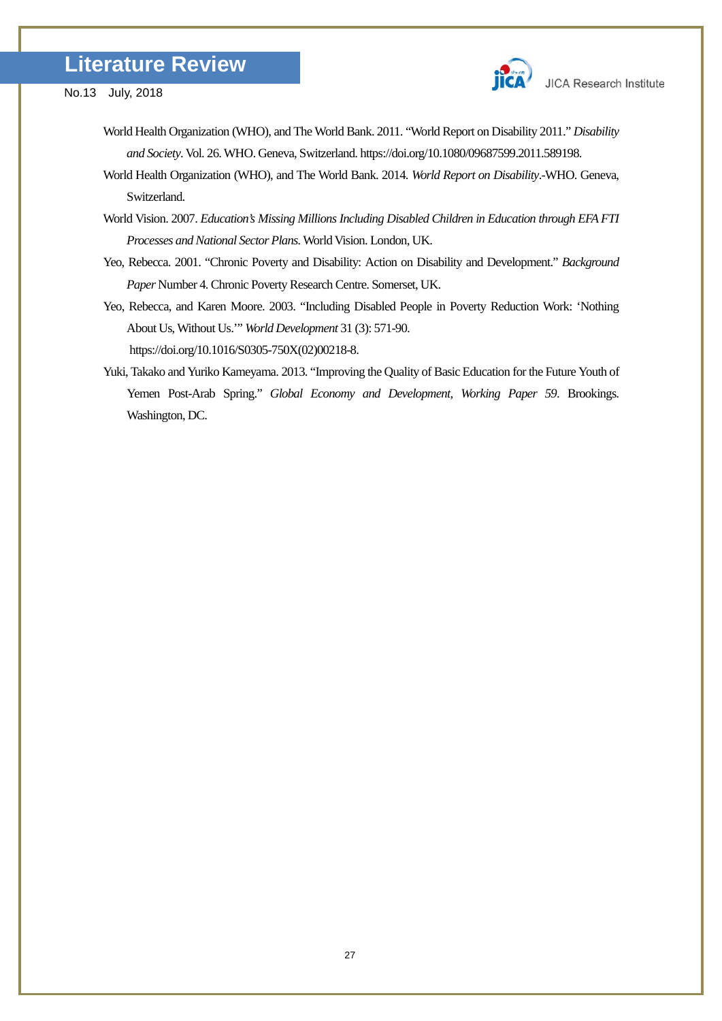

- No.13 July, 2018
	- World Health Organization (WHO), and The World Bank. 2011. "World Report on Disability 2011." *Disability and Society*. Vol. 26. WHO. Geneva, Switzerland. https://doi.org/10.1080/09687599.2011.589198.
	- World Health Organization (WHO), and The World Bank. 2014. *World Report on Disability*.-WHO. Geneva, Switzerland.
	- World Vision. 2007. *Education's Missing Millions Including Disabled Children in Education through EFA FTI Processes and National Sector Plans.*World Vision. London, UK.
	- Yeo, Rebecca. 2001. "Chronic Poverty and Disability: Action on Disability and Development." *Background Paper* Number 4. Chronic Poverty Research Centre. Somerset, UK.
	- Yeo, Rebecca, and Karen Moore. 2003. "Including Disabled People in Poverty Reduction Work: 'Nothing About Us, Without Us.'" *World Development* 31 (3): 571-90. https://doi.org/10.1016/S0305-750X(02)00218-8.
	- Yuki, Takako and Yuriko Kameyama. 2013. "Improving the Quality of Basic Education for the Future Youth of Yemen Post-Arab Spring." *Global Economy and Development, Working Paper 59*. Brookings. Washington, DC.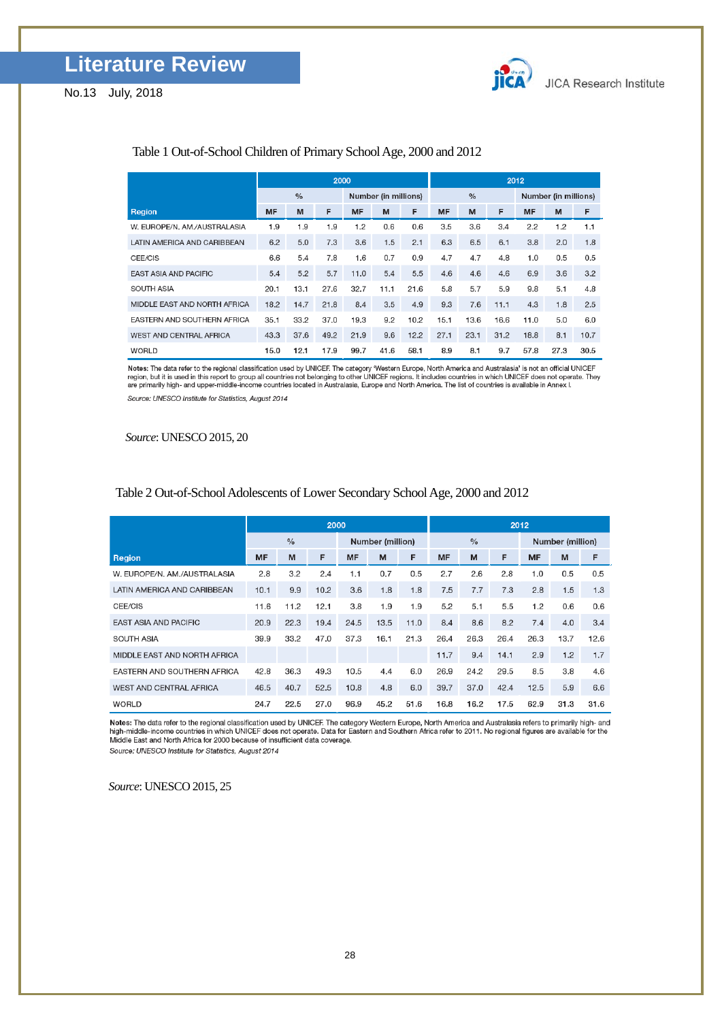

### Table 1 Out-of-School Children of Primary School Age, 2000 and 2012

|                                | 2000          |      |      |                      |      |      | 2012          |      |      |                      |      |      |  |
|--------------------------------|---------------|------|------|----------------------|------|------|---------------|------|------|----------------------|------|------|--|
|                                | $\frac{0}{0}$ |      |      | Number (in millions) |      |      | $\frac{0}{6}$ |      |      | Number (in millions) |      |      |  |
| Region                         | MF            | M    | F    | <b>MF</b>            | M    | F    | MF            | M    | F    | <b>MF</b>            | M    | F    |  |
| W. EUROPE/N. AM./AUSTRALASIA   | 1.9           | 1.9  | 1.9  | 1.2                  | 0.6  | 0.6  | 3.5           | 3.6  | 3.4  | 2.2                  | 1.2  | 1.1  |  |
| LATIN AMERICA AND CARIBBEAN    | 6.2           | 5.0  | 7.3  | 3.6                  | 1.5  | 2.1  | 6.3           | 6.5  | 6.1  | 3.8                  | 2.0  | 1.8  |  |
| CEE/CIS                        | 6.6           | 5.4  | 7.8  | 1.6                  | 0.7  | 0.9  | 4.7           | 4.7  | 4.8  | 1.0                  | 0.5  | 0.5  |  |
| <b>EAST ASIA AND PACIFIC</b>   | 5.4           | 5.2  | 5.7  | 11.0                 | 5.4  | 5.5  | 4.6           | 4.6  | 4.6  | 6.9                  | 3.6  | 3.2  |  |
| SOUTH ASIA                     | 20.1          | 13.1 | 27.6 | 32.7                 | 11.1 | 21.6 | 5.8           | 5.7  | 5.9  | 9.8                  | 5.1  | 4.8  |  |
| MIDDLE EAST AND NORTH AFRICA   | 18.2          | 14.7 | 21.8 | 8.4                  | 3.5  | 4.9  | 9.3           | 7.6  | 11.1 | 4.3                  | 1.8  | 2.5  |  |
| EASTERN AND SOUTHERN AFRICA    | 35.1          | 33.2 | 37.0 | 19.3                 | 9.2  | 10.2 | 15.1          | 13.6 | 16.6 | 11.0                 | 5.0  | 6.0  |  |
| <b>WEST AND CENTRAL AFRICA</b> | 43.3          | 37.6 | 49.2 | 21.9                 | 9.6  | 12.2 | 27.1          | 23.1 | 31.2 | 18.8                 | 8.1  | 10.7 |  |
| <b>WORLD</b>                   | 15.0          | 12.1 | 17.9 | 99.7                 | 41.6 | 58.1 | 8.9           | 8.1  | 9.7  | 57.8                 | 27.3 | 30.5 |  |

Notes: The data refer to the regional classification used by UNICEF. The category 'Western Europe, North America and Australasia' is not an official UNICEF<br>Tegion, but it is used in this report to group all countries not b Source: UNESCO Institute for Statistics, August 2014

*Source*: UNESCO 2015, 20

|                                | 2000          |      |      |                  |      |      |               | 2012 |      |                  |      |      |  |  |
|--------------------------------|---------------|------|------|------------------|------|------|---------------|------|------|------------------|------|------|--|--|
|                                | $\frac{0}{0}$ |      |      | Number (million) |      |      | $\frac{0}{0}$ |      |      | Number (million) |      |      |  |  |
| Region                         | <b>MF</b>     | M    | F    | <b>MF</b>        | M    | F    | <b>MF</b>     | M    | F    | <b>MF</b>        | M    | F    |  |  |
| W. EUROPE/N. AM./AUSTRALASIA   | 2.8           | 3.2  | 2.4  | 1.1              | 0.7  | 0.5  | 2.7           | 2.6  | 2.8  | 1.0              | 0.5  | 0.5  |  |  |
| LATIN AMERICA AND CARIBBEAN    | 10.1          | 9.9  | 10.2 | 3.6              | 1.8  | 1.8  | 7.5           | 7.7  | 7.3  | 2.8              | 1.5  | 1.3  |  |  |
| CEE/CIS                        | 11.6          | 11.2 | 12.1 | 3.8              | 1.9  | 1.9  | 5.2           | 5.1  | 5.5  | 1.2              | 0.6  | 0.6  |  |  |
| <b>EAST ASIA AND PACIFIC</b>   | 20.9          | 22.3 | 19.4 | 24.5             | 13.5 | 11.0 | 8.4           | 8.6  | 8.2  | 7.4              | 4.0  | 3.4  |  |  |
| <b>SOUTH ASIA</b>              | 39.9          | 33.2 | 47.0 | 37.3             | 16.1 | 21.3 | 26.4          | 26.3 | 26.4 | 26.3             | 13.7 | 12.6 |  |  |
| MIDDLE EAST AND NORTH AFRICA   |               |      |      |                  |      |      | 11.7          | 9.4  | 14.1 | 2.9              | 1.2  | 1.7  |  |  |
| EASTERN AND SOUTHERN AFRICA    | 42.8          | 36.3 | 49.3 | 10.5             | 4.4  | 6.0  | 26.9          | 24.2 | 29.5 | 8.5              | 3.8  | 4.6  |  |  |
| <b>WEST AND CENTRAL AFRICA</b> | 46.5          | 40.7 | 52.5 | 10.8             | 4.8  | 6.0  | 39.7          | 37.0 | 42.4 | 12.5             | 5.9  | 6.6  |  |  |
| <b>WORLD</b>                   | 24.7          | 22.5 | 27.0 | 96.9             | 45.2 | 51.6 | 16.8          | 16.2 | 17.5 | 62.9             | 31.3 | 31.6 |  |  |

#### Table 2 Out-of-School Adolescents of Lower Secondary School Age, 2000 and 2012

Notes: The data refer to the regional classification used by UNICEF. The category Western Europe, North America and Australasia refers to primarily high- and<br>high-middle-income countries in which UNICEF does not operate. D

Source: UNESCO Institute for Statistics, August 2014

*Source*: UNESCO 2015, 25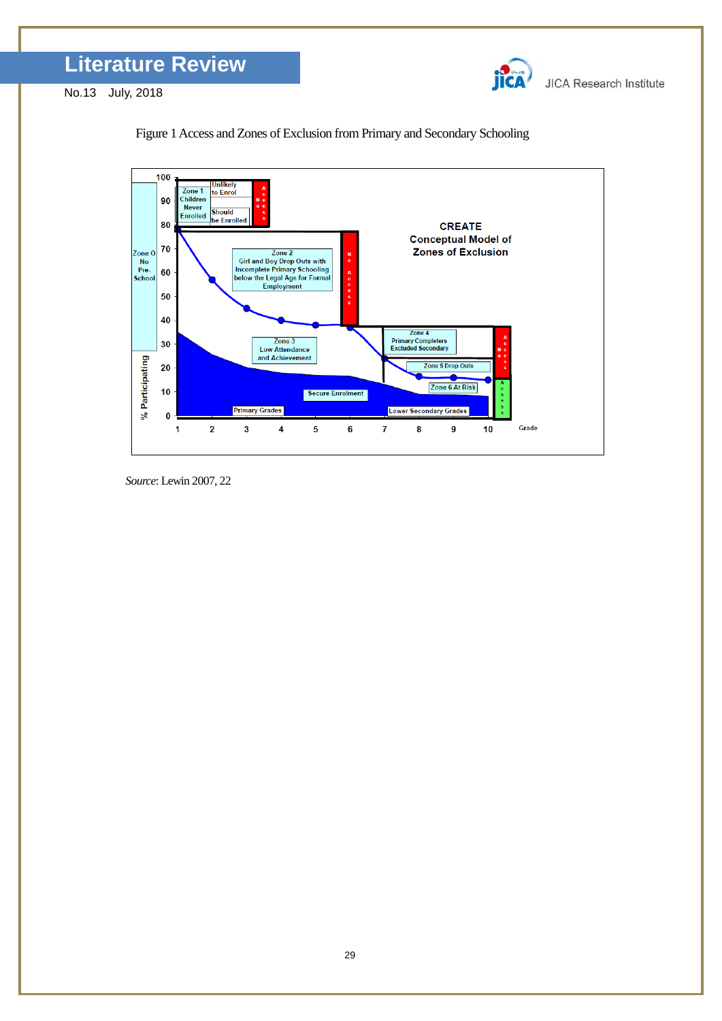

**JICA Research Institute** 

No.13 July, 2018





*Source*: Lewin 2007, 22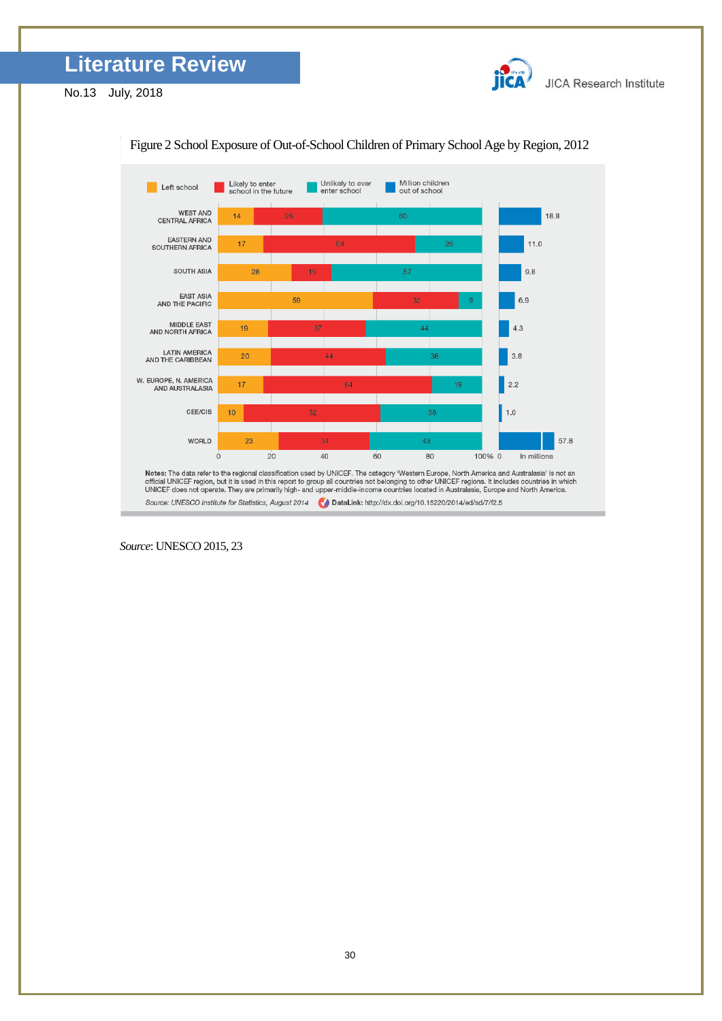

**JICA Research Institute** 

No.13 July, 2018



Figure 2 School Exposure of Out-of-School Children of Primary School Age by Region, 2012

*Source*: UNESCO 2015, 23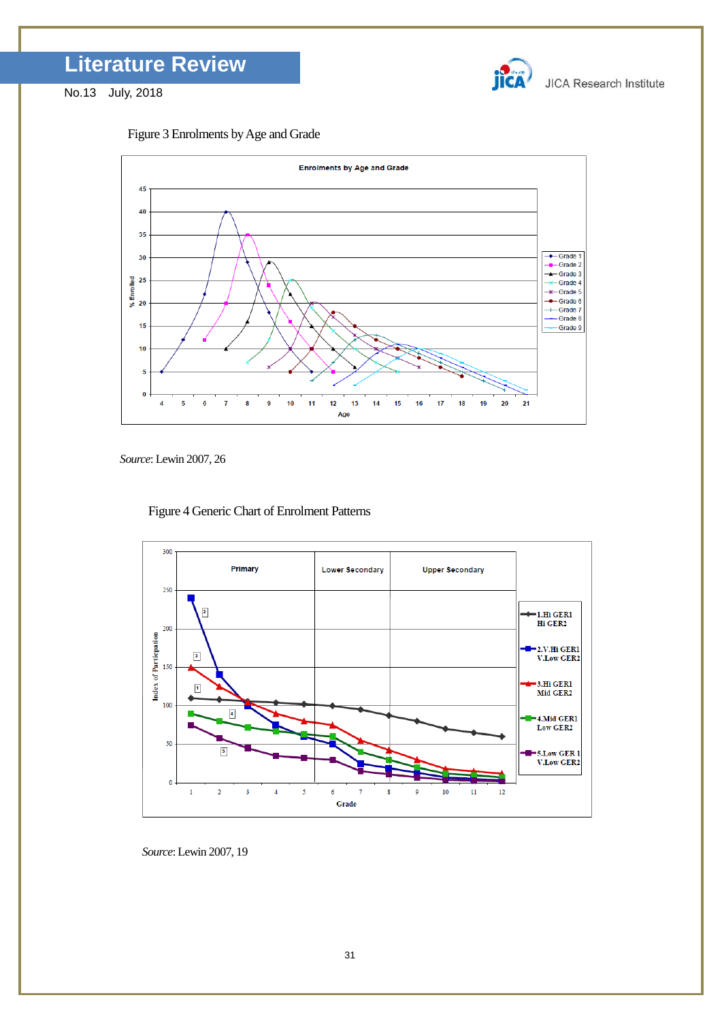







*Source*: Lewin 2007, 26

Figure 4 Generic Chart of Enrolment Patterns



*Source*: Lewin 2007, 19